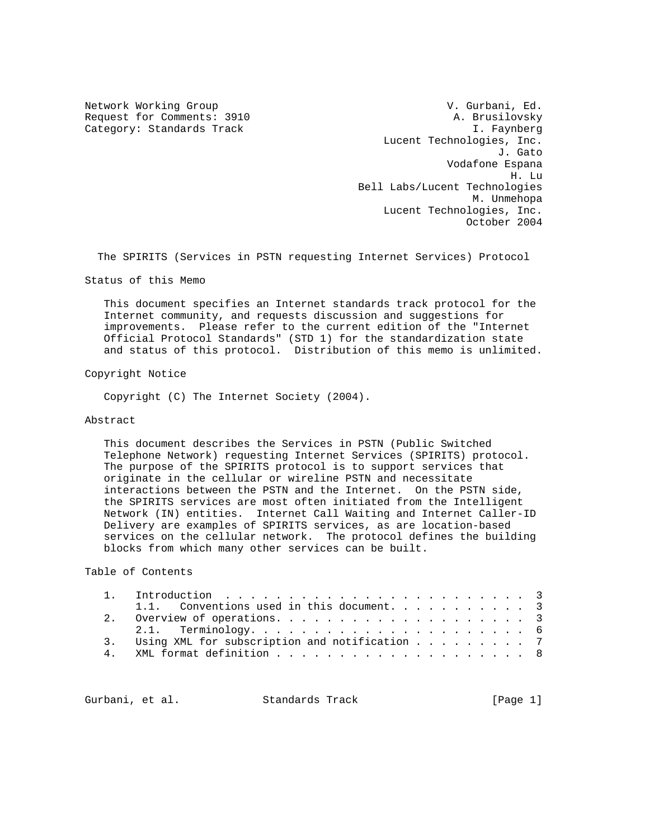Network Working Group and Months and Months W. Gurbani, Ed. Request for Comments: 3910 A. Brusilovsky Category: Standards Track I. Faynberg Lucent Technologies, Inc. J. Gato Vodafone Espana H. Lu Bell Labs/Lucent Technologies M. Unmehopa Lucent Technologies, Inc. October 2004

The SPIRITS (Services in PSTN requesting Internet Services) Protocol

Status of this Memo

 This document specifies an Internet standards track protocol for the Internet community, and requests discussion and suggestions for improvements. Please refer to the current edition of the "Internet Official Protocol Standards" (STD 1) for the standardization state and status of this protocol. Distribution of this memo is unlimited.

Copyright Notice

Copyright (C) The Internet Society (2004).

## Abstract

 This document describes the Services in PSTN (Public Switched Telephone Network) requesting Internet Services (SPIRITS) protocol. The purpose of the SPIRITS protocol is to support services that originate in the cellular or wireline PSTN and necessitate interactions between the PSTN and the Internet. On the PSTN side, the SPIRITS services are most often initiated from the Intelligent Network (IN) entities. Internet Call Waiting and Internet Caller-ID Delivery are examples of SPIRITS services, as are location-based services on the cellular network. The protocol defines the building blocks from which many other services can be built.

# Table of Contents

|  |  |  |  |  | 1.1. Conventions used in this document. 3<br>2.1. Terminology 6<br>3. Using XML for subscription and notification 7<br>4. XML format definition 8 |
|--|--|--|--|--|---------------------------------------------------------------------------------------------------------------------------------------------------|

Gurbani, et al. Standards Track [Page 1]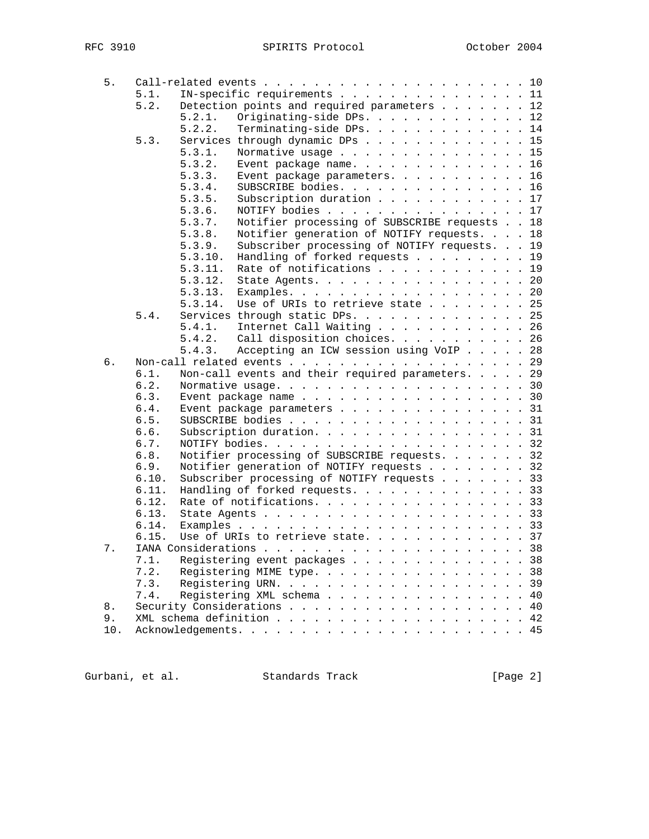| 5.  |       |                                                        |    |
|-----|-------|--------------------------------------------------------|----|
|     | 5.1.  | IN-specific requirements $\ldots$ 11                   |    |
|     | 5.2.  | Detection points and required parameters 12            |    |
|     |       | Originating-side DPs. 12<br>5.2.1.                     |    |
|     |       | 5.2.2.<br>Terminating-side DPs. 14                     |    |
|     | 5.3.  | Services through dynamic DPs 15                        |    |
|     |       | Normative usage 15<br>5.3.1.                           |    |
|     |       | 5.3.2.<br>Event package name. 16                       |    |
|     |       | 5.3.3.<br>Event package parameters. 16                 |    |
|     |       | SUBSCRIBE bodies. 16<br>5.3.4.                         |    |
|     |       | Subscription duration 17<br>5.3.5.                     |    |
|     |       | 5.3.6.<br>NOTIFY bodies 17                             |    |
|     |       | Notifier processing of SUBSCRIBE requests 18<br>5.3.7. |    |
|     |       | 5.3.8.<br>Notifier generation of NOTIFY requests. 18   |    |
|     |       | 5.3.9.<br>Subscriber processing of NOTIFY requests. 19 |    |
|     |       | 5.3.10.<br>Handling of forked requests 19              |    |
|     |       | 5.3.11.<br>Rate of notifications 19                    |    |
|     |       | 5.3.12.<br>State Agents. 20                            |    |
|     |       | 5.3.13.<br>Examples. 20                                |    |
|     |       | 5.3.14.<br>Use of URIs to retrieve state 25            |    |
|     | 5.4.  | Services through static DPs. 25                        |    |
|     |       | 5.4.1.<br>Internet Call Waiting 26                     |    |
|     |       | Call disposition choices. 26<br>5.4.2.                 |    |
|     |       | Accepting an ICW session using VoIP 28<br>5.4.3.       |    |
| б.  |       | Non-call related events 29                             |    |
|     | 6.1.  | Non-call events and their required parameters. 29      |    |
|     | 6.2.  |                                                        |    |
|     | 6.3.  | Event package name 30                                  |    |
|     | 6.4.  | Event package parameters 31                            |    |
|     | 6.5.  | SUBSCRIBE bodies 31                                    |    |
|     | 6.6.  | Subscription duration. 31                              |    |
|     | 6.7.  |                                                        |    |
|     | 6.8.  | Notifier processing of SUBSCRIBE requests. 32          |    |
|     | 6.9.  | Notifier generation of NOTIFY requests 32              |    |
|     | 6.10. | Subscriber processing of NOTIFY requests 33            |    |
|     | 6.11. | Handling of forked requests. 33                        |    |
|     | 6.12. | Rate of notifications. 33                              |    |
|     | 6.13. |                                                        |    |
|     | 6.14. |                                                        |    |
|     | 6.15. | Use of URIs to retrieve state. 37                      |    |
| 7.  |       |                                                        | 38 |
|     | 7.1.  | Registering event packages                             | 38 |
|     | 7.2.  | Registering MIME type.                                 | 38 |
|     | 7.3.  | Registering URN.                                       | 39 |
|     | 7.4.  | Registering XML schema                                 | 40 |
| 8.  |       | Security Considerations                                | 40 |
| 9.  |       | XML schema definition<br>$\cdot$ $42$                  |    |
| 10. |       |                                                        |    |
|     |       |                                                        |    |

Gurbani, et al. Standards Track [Page 2]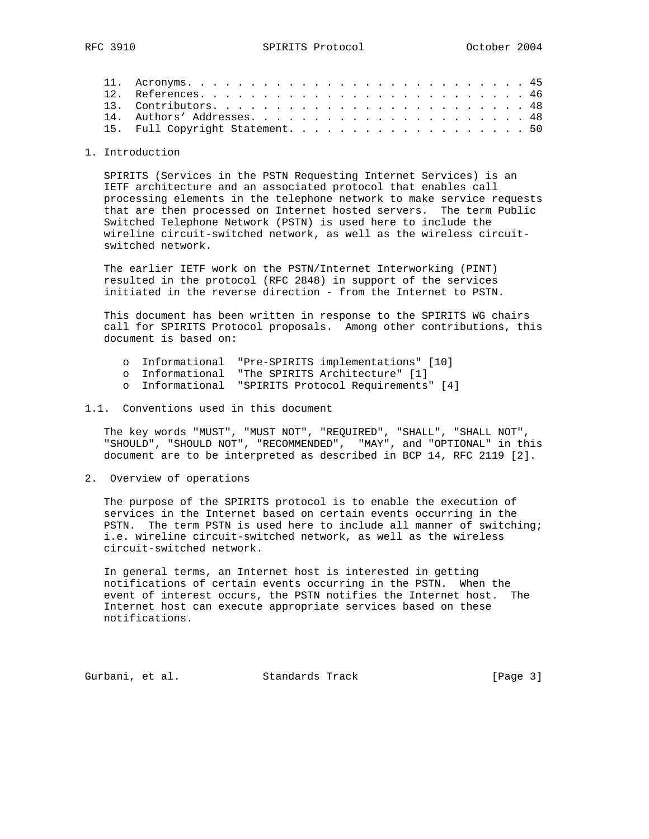|  | 15. Full Copyright Statement. 50 |  |
|--|----------------------------------|--|
|  |                                  |  |

# 1. Introduction

 SPIRITS (Services in the PSTN Requesting Internet Services) is an IETF architecture and an associated protocol that enables call processing elements in the telephone network to make service requests that are then processed on Internet hosted servers. The term Public Switched Telephone Network (PSTN) is used here to include the wireline circuit-switched network, as well as the wireless circuit switched network.

 The earlier IETF work on the PSTN/Internet Interworking (PINT) resulted in the protocol (RFC 2848) in support of the services initiated in the reverse direction - from the Internet to PSTN.

 This document has been written in response to the SPIRITS WG chairs call for SPIRITS Protocol proposals. Among other contributions, this document is based on:

- o Informational "Pre-SPIRITS implementations" [10]
- o Informational "The SPIRITS Architecture" [1]
- o Informational "SPIRITS Protocol Requirements" [4]

1.1. Conventions used in this document

 The key words "MUST", "MUST NOT", "REQUIRED", "SHALL", "SHALL NOT", "SHOULD", "SHOULD NOT", "RECOMMENDED", "MAY", and "OPTIONAL" in this document are to be interpreted as described in BCP 14, RFC 2119 [2].

2. Overview of operations

 The purpose of the SPIRITS protocol is to enable the execution of services in the Internet based on certain events occurring in the PSTN. The term PSTN is used here to include all manner of switching; i.e. wireline circuit-switched network, as well as the wireless circuit-switched network.

 In general terms, an Internet host is interested in getting notifications of certain events occurring in the PSTN. When the event of interest occurs, the PSTN notifies the Internet host. The Internet host can execute appropriate services based on these notifications.

Gurbani, et al. Standards Track [Page 3]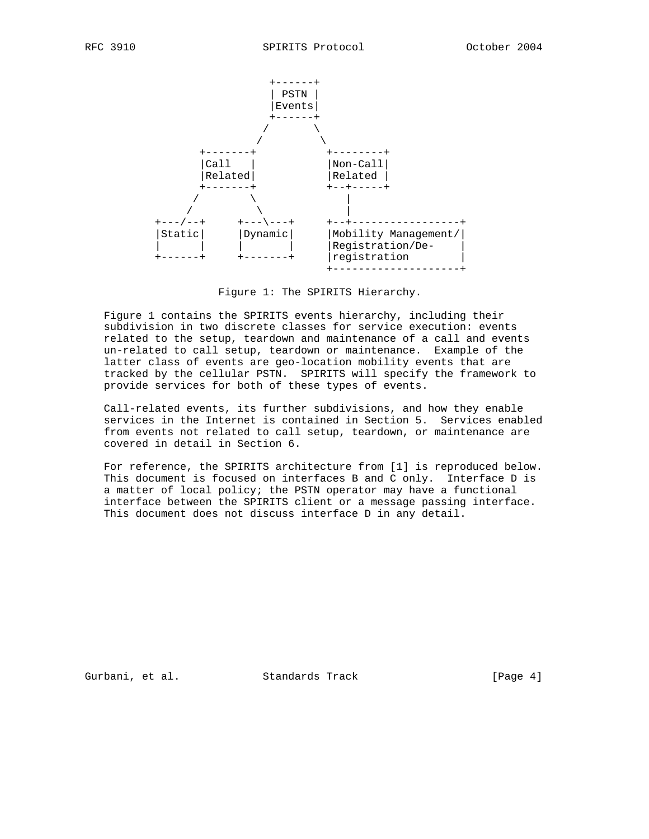

Figure 1: The SPIRITS Hierarchy.

 Figure 1 contains the SPIRITS events hierarchy, including their subdivision in two discrete classes for service execution: events related to the setup, teardown and maintenance of a call and events un-related to call setup, teardown or maintenance. Example of the latter class of events are geo-location mobility events that are tracked by the cellular PSTN. SPIRITS will specify the framework to provide services for both of these types of events.

 Call-related events, its further subdivisions, and how they enable services in the Internet is contained in Section 5. Services enabled from events not related to call setup, teardown, or maintenance are covered in detail in Section 6.

 For reference, the SPIRITS architecture from [1] is reproduced below. This document is focused on interfaces B and C only. Interface D is a matter of local policy; the PSTN operator may have a functional interface between the SPIRITS client or a message passing interface. This document does not discuss interface D in any detail.

Gurbani, et al. Standards Track [Page 4]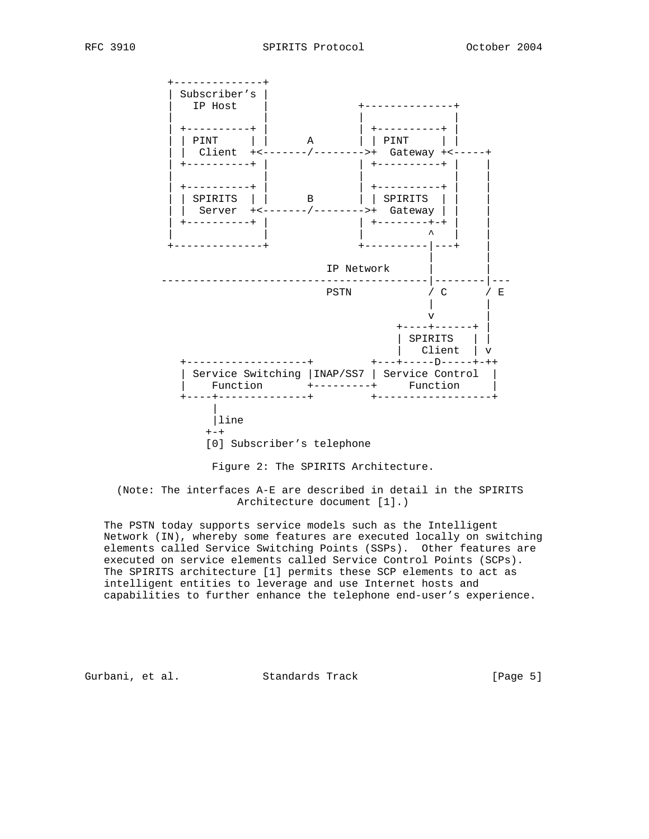

Figure 2: The SPIRITS Architecture.

 (Note: The interfaces A-E are described in detail in the SPIRITS Architecture document [1].)

 The PSTN today supports service models such as the Intelligent Network (IN), whereby some features are executed locally on switching elements called Service Switching Points (SSPs). Other features are executed on service elements called Service Control Points (SCPs). The SPIRITS architecture [1] permits these SCP elements to act as intelligent entities to leverage and use Internet hosts and capabilities to further enhance the telephone end-user's experience.

Gurbani, et al. Standards Track [Page 5]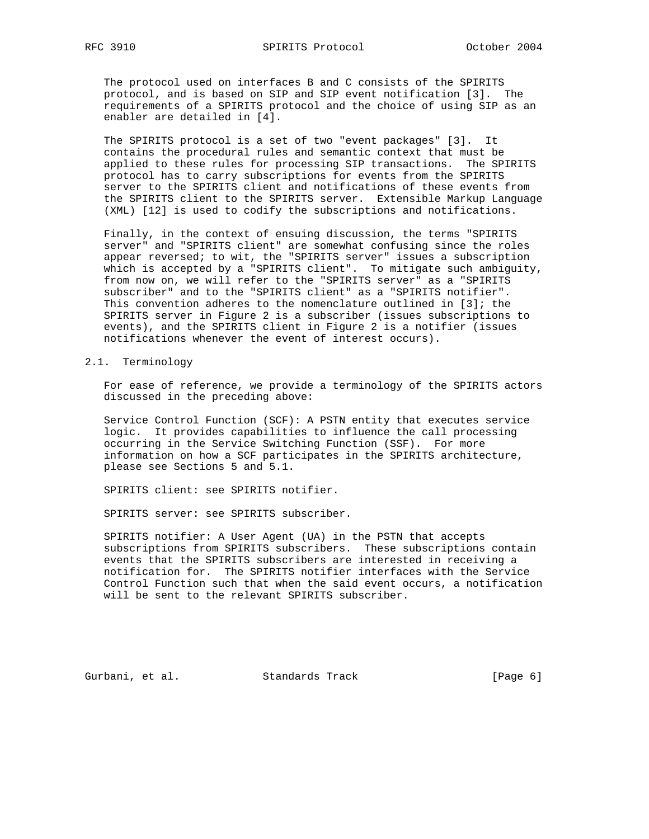The protocol used on interfaces B and C consists of the SPIRITS protocol, and is based on SIP and SIP event notification [3]. The requirements of a SPIRITS protocol and the choice of using SIP as an enabler are detailed in [4].

 The SPIRITS protocol is a set of two "event packages" [3]. It contains the procedural rules and semantic context that must be applied to these rules for processing SIP transactions. The SPIRITS protocol has to carry subscriptions for events from the SPIRITS server to the SPIRITS client and notifications of these events from the SPIRITS client to the SPIRITS server. Extensible Markup Language (XML) [12] is used to codify the subscriptions and notifications.

 Finally, in the context of ensuing discussion, the terms "SPIRITS server" and "SPIRITS client" are somewhat confusing since the roles appear reversed; to wit, the "SPIRITS server" issues a subscription which is accepted by a "SPIRITS client". To mitigate such ambiguity, from now on, we will refer to the "SPIRITS server" as a "SPIRITS subscriber" and to the "SPIRITS client" as a "SPIRITS notifier". This convention adheres to the nomenclature outlined in  $[3]$ ; the SPIRITS server in Figure 2 is a subscriber (issues subscriptions to events), and the SPIRITS client in Figure 2 is a notifier (issues notifications whenever the event of interest occurs).

# 2.1. Terminology

 For ease of reference, we provide a terminology of the SPIRITS actors discussed in the preceding above:

 Service Control Function (SCF): A PSTN entity that executes service logic. It provides capabilities to influence the call processing occurring in the Service Switching Function (SSF). For more information on how a SCF participates in the SPIRITS architecture, please see Sections 5 and 5.1.

SPIRITS client: see SPIRITS notifier.

SPIRITS server: see SPIRITS subscriber.

 SPIRITS notifier: A User Agent (UA) in the PSTN that accepts subscriptions from SPIRITS subscribers. These subscriptions contain events that the SPIRITS subscribers are interested in receiving a notification for. The SPIRITS notifier interfaces with the Service Control Function such that when the said event occurs, a notification will be sent to the relevant SPIRITS subscriber.

Gurbani, et al. Standards Track [Page 6]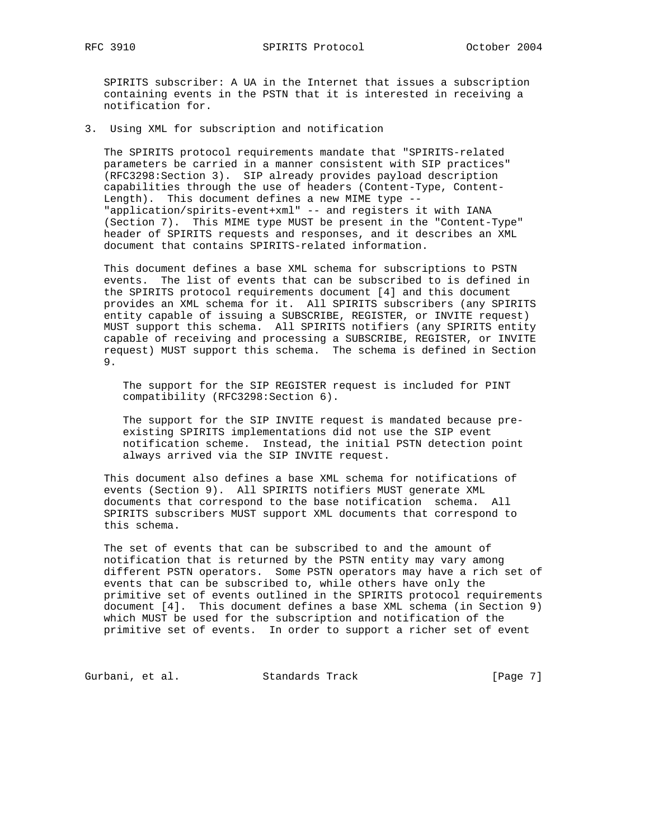SPIRITS subscriber: A UA in the Internet that issues a subscription containing events in the PSTN that it is interested in receiving a notification for.

3. Using XML for subscription and notification

 The SPIRITS protocol requirements mandate that "SPIRITS-related parameters be carried in a manner consistent with SIP practices" (RFC3298:Section 3). SIP already provides payload description capabilities through the use of headers (Content-Type, Content- Length). This document defines a new MIME type -- "application/spirits-event+xml" -- and registers it with IANA (Section 7). This MIME type MUST be present in the "Content-Type" header of SPIRITS requests and responses, and it describes an XML document that contains SPIRITS-related information.

 This document defines a base XML schema for subscriptions to PSTN events. The list of events that can be subscribed to is defined in the SPIRITS protocol requirements document [4] and this document provides an XML schema for it. All SPIRITS subscribers (any SPIRITS entity capable of issuing a SUBSCRIBE, REGISTER, or INVITE request) MUST support this schema. All SPIRITS notifiers (any SPIRITS entity capable of receiving and processing a SUBSCRIBE, REGISTER, or INVITE request) MUST support this schema. The schema is defined in Section 9.

 The support for the SIP REGISTER request is included for PINT compatibility (RFC3298:Section 6).

 The support for the SIP INVITE request is mandated because pre existing SPIRITS implementations did not use the SIP event notification scheme. Instead, the initial PSTN detection point always arrived via the SIP INVITE request.

 This document also defines a base XML schema for notifications of events (Section 9). All SPIRITS notifiers MUST generate XML documents that correspond to the base notification schema. All SPIRITS subscribers MUST support XML documents that correspond to this schema.

 The set of events that can be subscribed to and the amount of notification that is returned by the PSTN entity may vary among different PSTN operators. Some PSTN operators may have a rich set of events that can be subscribed to, while others have only the primitive set of events outlined in the SPIRITS protocol requirements document [4]. This document defines a base XML schema (in Section 9) which MUST be used for the subscription and notification of the primitive set of events. In order to support a richer set of event

Gurbani, et al. Standards Track (Page 7)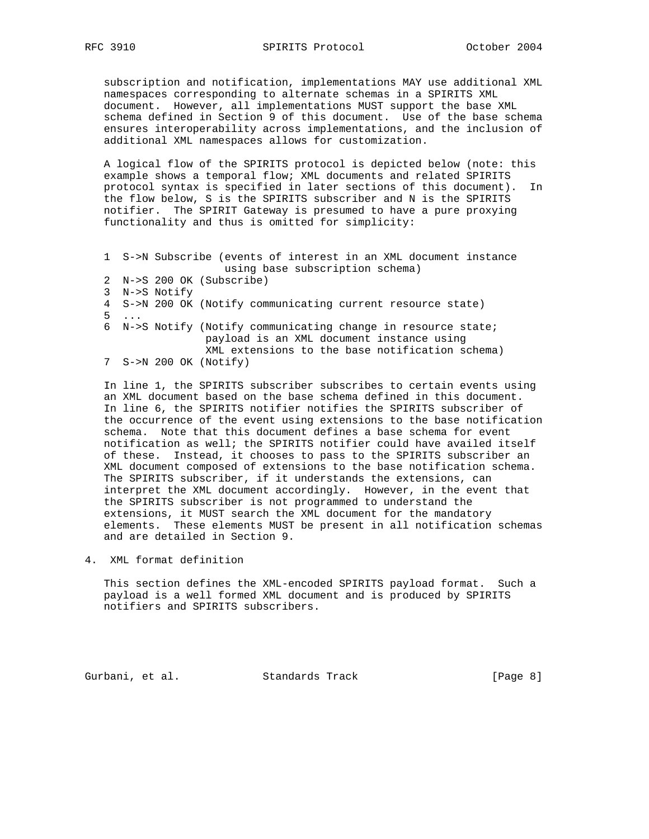subscription and notification, implementations MAY use additional XML namespaces corresponding to alternate schemas in a SPIRITS XML document. However, all implementations MUST support the base XML schema defined in Section 9 of this document. Use of the base schema ensures interoperability across implementations, and the inclusion of additional XML namespaces allows for customization.

 A logical flow of the SPIRITS protocol is depicted below (note: this example shows a temporal flow; XML documents and related SPIRITS protocol syntax is specified in later sections of this document). In the flow below, S is the SPIRITS subscriber and N is the SPIRITS notifier. The SPIRIT Gateway is presumed to have a pure proxying functionality and thus is omitted for simplicity:

 1 S->N Subscribe (events of interest in an XML document instance using base subscription schema) 2 N->S 200 OK (Subscribe) 3 N->S Notify 4 S->N 200 OK (Notify communicating current resource state) 5 ... 6 N->S Notify (Notify communicating change in resource state; payload is an XML document instance using XML extensions to the base notification schema) 7 S->N 200 OK (Notify)

 In line 1, the SPIRITS subscriber subscribes to certain events using an XML document based on the base schema defined in this document. In line 6, the SPIRITS notifier notifies the SPIRITS subscriber of the occurrence of the event using extensions to the base notification schema. Note that this document defines a base schema for event notification as well; the SPIRITS notifier could have availed itself of these. Instead, it chooses to pass to the SPIRITS subscriber an XML document composed of extensions to the base notification schema. The SPIRITS subscriber, if it understands the extensions, can interpret the XML document accordingly. However, in the event that the SPIRITS subscriber is not programmed to understand the extensions, it MUST search the XML document for the mandatory elements. These elements MUST be present in all notification schemas and are detailed in Section 9.

4. XML format definition

 This section defines the XML-encoded SPIRITS payload format. Such a payload is a well formed XML document and is produced by SPIRITS notifiers and SPIRITS subscribers.

Gurbani, et al. Standards Track [Page 8]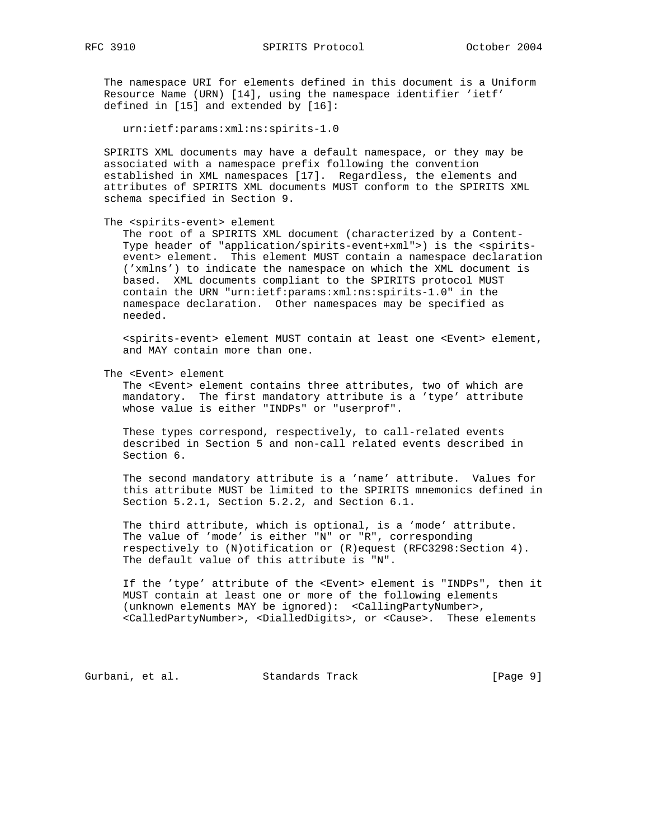The namespace URI for elements defined in this document is a Uniform Resource Name (URN) [14], using the namespace identifier 'ietf' defined in [15] and extended by [16]:

urn:ietf:params:xml:ns:spirits-1.0

 SPIRITS XML documents may have a default namespace, or they may be associated with a namespace prefix following the convention established in XML namespaces [17]. Regardless, the elements and attributes of SPIRITS XML documents MUST conform to the SPIRITS XML schema specified in Section 9.

The <spirits-event> element

 The root of a SPIRITS XML document (characterized by a Content- Type header of "application/spirits-event+xml">) is the <spirits event> element. This element MUST contain a namespace declaration ('xmlns') to indicate the namespace on which the XML document is based. XML documents compliant to the SPIRITS protocol MUST contain the URN "urn:ietf:params:xml:ns:spirits-1.0" in the namespace declaration. Other namespaces may be specified as needed.

 <spirits-event> element MUST contain at least one <Event> element, and MAY contain more than one.

The <Event> element

The <Event> element contains three attributes, two of which are mandatory. The first mandatory attribute is a 'type' attribute whose value is either "INDPs" or "userprof".

 These types correspond, respectively, to call-related events described in Section 5 and non-call related events described in Section 6.

 The second mandatory attribute is a 'name' attribute. Values for this attribute MUST be limited to the SPIRITS mnemonics defined in Section 5.2.1, Section 5.2.2, and Section 6.1.

 The third attribute, which is optional, is a 'mode' attribute. The value of 'mode' is either "N" or "R", corresponding respectively to (N)otification or (R)equest (RFC3298:Section 4). The default value of this attribute is "N".

 If the 'type' attribute of the <Event> element is "INDPs", then it MUST contain at least one or more of the following elements (unknown elements MAY be ignored): <CallingPartyNumber>, <CalledPartyNumber>, <DialledDigits>, or <Cause>. These elements

Gurbani, et al. Standards Track [Page 9]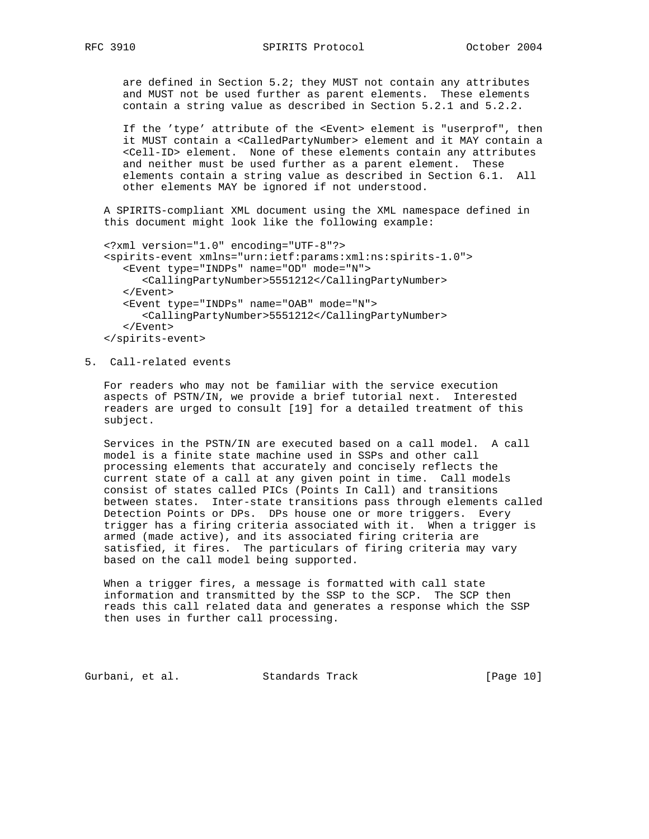are defined in Section 5.2; they MUST not contain any attributes and MUST not be used further as parent elements. These elements contain a string value as described in Section 5.2.1 and 5.2.2.

 If the 'type' attribute of the <Event> element is "userprof", then it MUST contain a <CalledPartyNumber> element and it MAY contain a <Cell-ID> element. None of these elements contain any attributes and neither must be used further as a parent element. These elements contain a string value as described in Section 6.1. All other elements MAY be ignored if not understood.

 A SPIRITS-compliant XML document using the XML namespace defined in this document might look like the following example:

```
 <?xml version="1.0" encoding="UTF-8"?>
 <spirits-event xmlns="urn:ietf:params:xml:ns:spirits-1.0">
    <Event type="INDPs" name="OD" mode="N">
       <CallingPartyNumber>5551212</CallingPartyNumber>
    </Event>
    <Event type="INDPs" name="OAB" mode="N">
       <CallingPartyNumber>5551212</CallingPartyNumber>
    </Event>
 </spirits-event>
```
5. Call-related events

 For readers who may not be familiar with the service execution aspects of PSTN/IN, we provide a brief tutorial next. Interested readers are urged to consult [19] for a detailed treatment of this subject.

 Services in the PSTN/IN are executed based on a call model. A call model is a finite state machine used in SSPs and other call processing elements that accurately and concisely reflects the current state of a call at any given point in time. Call models consist of states called PICs (Points In Call) and transitions between states. Inter-state transitions pass through elements called Detection Points or DPs. DPs house one or more triggers. Every trigger has a firing criteria associated with it. When a trigger is armed (made active), and its associated firing criteria are satisfied, it fires. The particulars of firing criteria may vary based on the call model being supported.

 When a trigger fires, a message is formatted with call state information and transmitted by the SSP to the SCP. The SCP then reads this call related data and generates a response which the SSP then uses in further call processing.

Gurbani, et al. Standards Track [Page 10]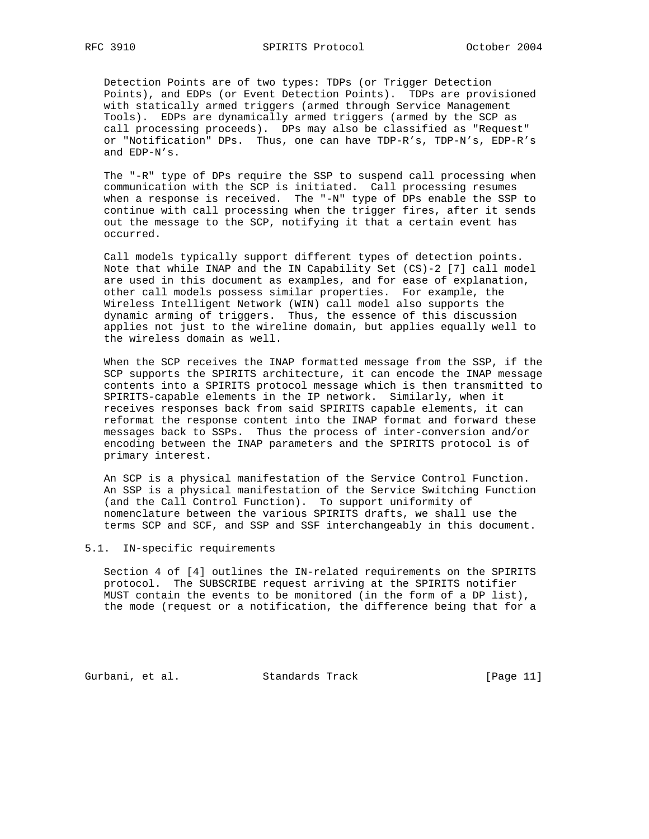Detection Points are of two types: TDPs (or Trigger Detection Points), and EDPs (or Event Detection Points). TDPs are provisioned with statically armed triggers (armed through Service Management Tools). EDPs are dynamically armed triggers (armed by the SCP as call processing proceeds). DPs may also be classified as "Request" or "Notification" DPs. Thus, one can have TDP-R's, TDP-N's, EDP-R's and EDP-N's.

 The "-R" type of DPs require the SSP to suspend call processing when communication with the SCP is initiated. Call processing resumes when a response is received. The "-N" type of DPs enable the SSP to continue with call processing when the trigger fires, after it sends out the message to the SCP, notifying it that a certain event has occurred.

 Call models typically support different types of detection points. Note that while INAP and the IN Capability Set (CS)-2 [7] call model are used in this document as examples, and for ease of explanation, other call models possess similar properties. For example, the Wireless Intelligent Network (WIN) call model also supports the dynamic arming of triggers. Thus, the essence of this discussion applies not just to the wireline domain, but applies equally well to the wireless domain as well.

 When the SCP receives the INAP formatted message from the SSP, if the SCP supports the SPIRITS architecture, it can encode the INAP message contents into a SPIRITS protocol message which is then transmitted to SPIRITS-capable elements in the IP network. Similarly, when it receives responses back from said SPIRITS capable elements, it can reformat the response content into the INAP format and forward these messages back to SSPs. Thus the process of inter-conversion and/or encoding between the INAP parameters and the SPIRITS protocol is of primary interest.

 An SCP is a physical manifestation of the Service Control Function. An SSP is a physical manifestation of the Service Switching Function (and the Call Control Function). To support uniformity of nomenclature between the various SPIRITS drafts, we shall use the terms SCP and SCF, and SSP and SSF interchangeably in this document.

## 5.1. IN-specific requirements

 Section 4 of [4] outlines the IN-related requirements on the SPIRITS protocol. The SUBSCRIBE request arriving at the SPIRITS notifier MUST contain the events to be monitored (in the form of a DP list), the mode (request or a notification, the difference being that for a

Gurbani, et al. Standards Track [Page 11]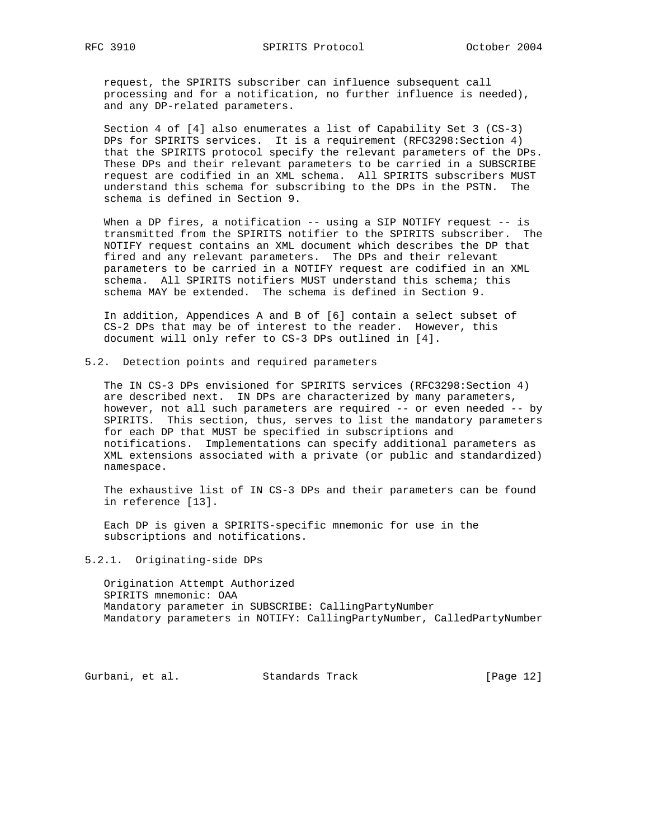request, the SPIRITS subscriber can influence subsequent call processing and for a notification, no further influence is needed), and any DP-related parameters.

 Section 4 of [4] also enumerates a list of Capability Set 3 (CS-3) DPs for SPIRITS services. It is a requirement (RFC3298:Section 4) that the SPIRITS protocol specify the relevant parameters of the DPs. These DPs and their relevant parameters to be carried in a SUBSCRIBE request are codified in an XML schema. All SPIRITS subscribers MUST understand this schema for subscribing to the DPs in the PSTN. The schema is defined in Section 9.

When a DP fires, a notification  $-$  using a SIP NOTIFY request  $-$  is transmitted from the SPIRITS notifier to the SPIRITS subscriber. The NOTIFY request contains an XML document which describes the DP that fired and any relevant parameters. The DPs and their relevant parameters to be carried in a NOTIFY request are codified in an XML schema. All SPIRITS notifiers MUST understand this schema; this schema MAY be extended. The schema is defined in Section 9.

 In addition, Appendices A and B of [6] contain a select subset of CS-2 DPs that may be of interest to the reader. However, this document will only refer to CS-3 DPs outlined in [4].

5.2. Detection points and required parameters

 The IN CS-3 DPs envisioned for SPIRITS services (RFC3298:Section 4) are described next. IN DPs are characterized by many parameters, however, not all such parameters are required -- or even needed -- by SPIRITS. This section, thus, serves to list the mandatory parameters for each DP that MUST be specified in subscriptions and notifications. Implementations can specify additional parameters as XML extensions associated with a private (or public and standardized) namespace.

 The exhaustive list of IN CS-3 DPs and their parameters can be found in reference [13].

 Each DP is given a SPIRITS-specific mnemonic for use in the subscriptions and notifications.

# 5.2.1. Originating-side DPs

 Origination Attempt Authorized SPIRITS mnemonic: OAA Mandatory parameter in SUBSCRIBE: CallingPartyNumber Mandatory parameters in NOTIFY: CallingPartyNumber, CalledPartyNumber

Gurbani, et al. Standards Track [Page 12]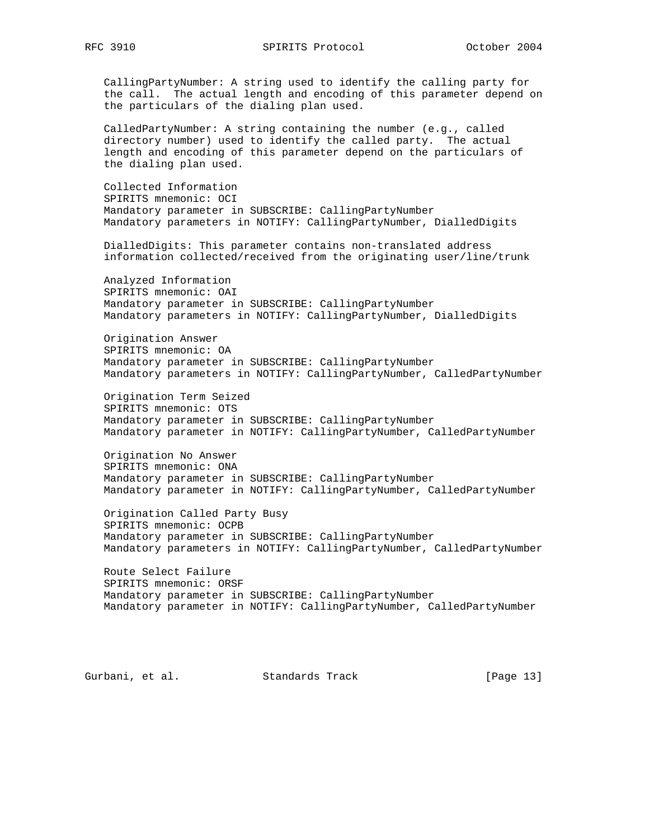CallingPartyNumber: A string used to identify the calling party for the call. The actual length and encoding of this parameter depend on the particulars of the dialing plan used.

 CalledPartyNumber: A string containing the number (e.g., called directory number) used to identify the called party. The actual length and encoding of this parameter depend on the particulars of the dialing plan used.

 Collected Information SPIRITS mnemonic: OCI Mandatory parameter in SUBSCRIBE: CallingPartyNumber Mandatory parameters in NOTIFY: CallingPartyNumber, DialledDigits

 DialledDigits: This parameter contains non-translated address information collected/received from the originating user/line/trunk

 Analyzed Information SPIRITS mnemonic: OAI Mandatory parameter in SUBSCRIBE: CallingPartyNumber Mandatory parameters in NOTIFY: CallingPartyNumber, DialledDigits

 Origination Answer SPIRITS mnemonic: OA Mandatory parameter in SUBSCRIBE: CallingPartyNumber Mandatory parameters in NOTIFY: CallingPartyNumber, CalledPartyNumber

 Origination Term Seized SPIRITS mnemonic: OTS Mandatory parameter in SUBSCRIBE: CallingPartyNumber Mandatory parameter in NOTIFY: CallingPartyNumber, CalledPartyNumber

 Origination No Answer SPIRITS mnemonic: ONA Mandatory parameter in SUBSCRIBE: CallingPartyNumber Mandatory parameter in NOTIFY: CallingPartyNumber, CalledPartyNumber

 Origination Called Party Busy SPIRITS mnemonic: OCPB Mandatory parameter in SUBSCRIBE: CallingPartyNumber Mandatory parameters in NOTIFY: CallingPartyNumber, CalledPartyNumber

 Route Select Failure SPIRITS mnemonic: ORSF Mandatory parameter in SUBSCRIBE: CallingPartyNumber Mandatory parameter in NOTIFY: CallingPartyNumber, CalledPartyNumber

Gurbani, et al. Standards Track [Page 13]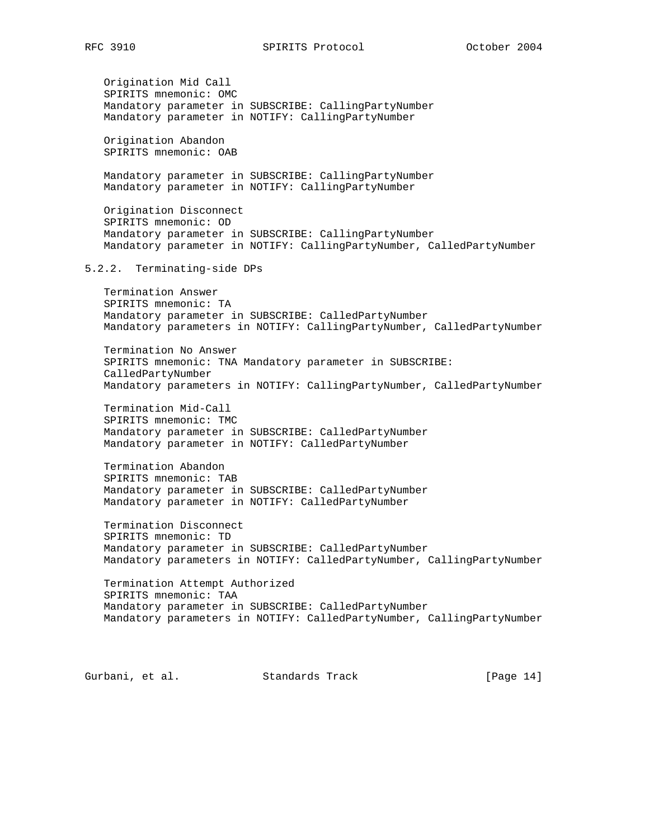Origination Mid Call SPIRITS mnemonic: OMC Mandatory parameter in SUBSCRIBE: CallingPartyNumber Mandatory parameter in NOTIFY: CallingPartyNumber Origination Abandon SPIRITS mnemonic: OAB Mandatory parameter in SUBSCRIBE: CallingPartyNumber Mandatory parameter in NOTIFY: CallingPartyNumber Origination Disconnect SPIRITS mnemonic: OD Mandatory parameter in SUBSCRIBE: CallingPartyNumber Mandatory parameter in NOTIFY: CallingPartyNumber, CalledPartyNumber 5.2.2. Terminating-side DPs Termination Answer SPIRITS mnemonic: TA Mandatory parameter in SUBSCRIBE: CalledPartyNumber Mandatory parameters in NOTIFY: CallingPartyNumber, CalledPartyNumber Termination No Answer SPIRITS mnemonic: TNA Mandatory parameter in SUBSCRIBE: CalledPartyNumber Mandatory parameters in NOTIFY: CallingPartyNumber, CalledPartyNumber Termination Mid-Call SPIRITS mnemonic: TMC Mandatory parameter in SUBSCRIBE: CalledPartyNumber Mandatory parameter in NOTIFY: CalledPartyNumber Termination Abandon SPIRITS mnemonic: TAB Mandatory parameter in SUBSCRIBE: CalledPartyNumber Mandatory parameter in NOTIFY: CalledPartyNumber Termination Disconnect SPIRITS mnemonic: TD Mandatory parameter in SUBSCRIBE: CalledPartyNumber Mandatory parameters in NOTIFY: CalledPartyNumber, CallingPartyNumber Termination Attempt Authorized SPIRITS mnemonic: TAA Mandatory parameter in SUBSCRIBE: CalledPartyNumber Mandatory parameters in NOTIFY: CalledPartyNumber, CallingPartyNumber

Gurbani, et al. Standards Track [Page 14]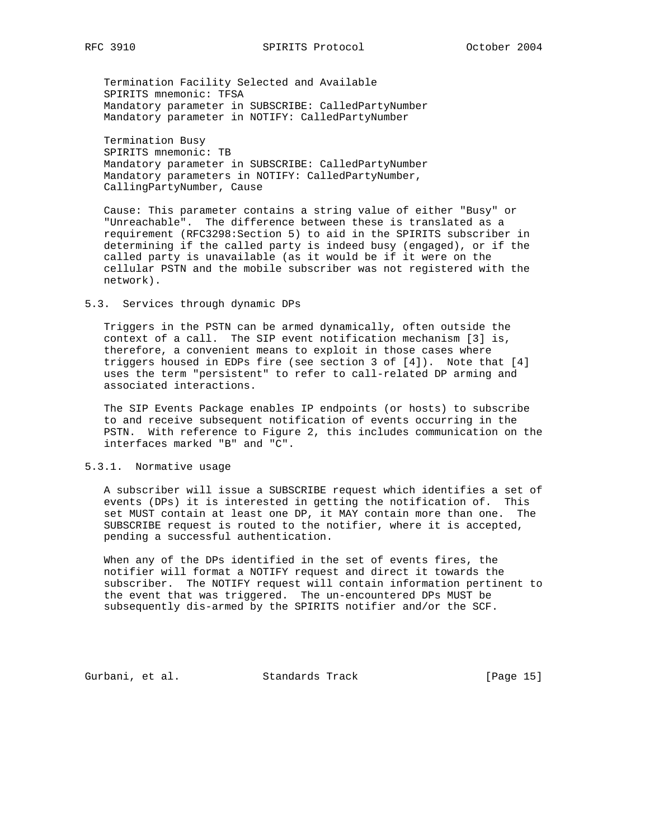Termination Facility Selected and Available SPIRITS mnemonic: TFSA Mandatory parameter in SUBSCRIBE: CalledPartyNumber Mandatory parameter in NOTIFY: CalledPartyNumber

 Termination Busy SPIRITS mnemonic: TB Mandatory parameter in SUBSCRIBE: CalledPartyNumber Mandatory parameters in NOTIFY: CalledPartyNumber, CallingPartyNumber, Cause

 Cause: This parameter contains a string value of either "Busy" or "Unreachable". The difference between these is translated as a requirement (RFC3298:Section 5) to aid in the SPIRITS subscriber in determining if the called party is indeed busy (engaged), or if the called party is unavailable (as it would be if it were on the cellular PSTN and the mobile subscriber was not registered with the network).

5.3. Services through dynamic DPs

 Triggers in the PSTN can be armed dynamically, often outside the context of a call. The SIP event notification mechanism [3] is, therefore, a convenient means to exploit in those cases where triggers housed in EDPs fire (see section 3 of [4]). Note that [4] uses the term "persistent" to refer to call-related DP arming and associated interactions.

 The SIP Events Package enables IP endpoints (or hosts) to subscribe to and receive subsequent notification of events occurring in the PSTN. With reference to Figure 2, this includes communication on the interfaces marked "B" and "C".

5.3.1. Normative usage

 A subscriber will issue a SUBSCRIBE request which identifies a set of events (DPs) it is interested in getting the notification of. This set MUST contain at least one DP, it MAY contain more than one. The SUBSCRIBE request is routed to the notifier, where it is accepted, pending a successful authentication.

 When any of the DPs identified in the set of events fires, the notifier will format a NOTIFY request and direct it towards the subscriber. The NOTIFY request will contain information pertinent to the event that was triggered. The un-encountered DPs MUST be subsequently dis-armed by the SPIRITS notifier and/or the SCF.

Gurbani, et al. Standards Track [Page 15]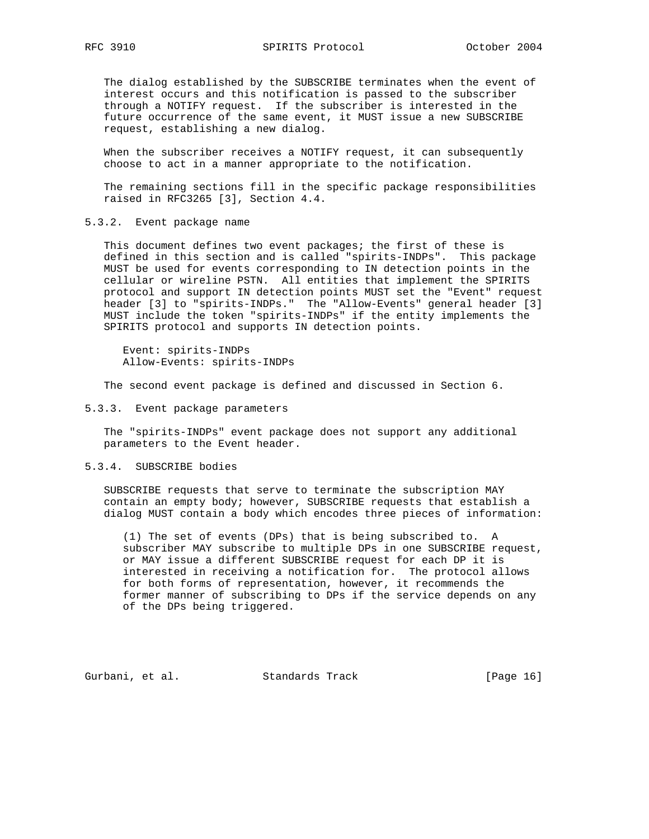The dialog established by the SUBSCRIBE terminates when the event of interest occurs and this notification is passed to the subscriber through a NOTIFY request. If the subscriber is interested in the future occurrence of the same event, it MUST issue a new SUBSCRIBE request, establishing a new dialog.

 When the subscriber receives a NOTIFY request, it can subsequently choose to act in a manner appropriate to the notification.

 The remaining sections fill in the specific package responsibilities raised in RFC3265 [3], Section 4.4.

5.3.2. Event package name

 This document defines two event packages; the first of these is defined in this section and is called "spirits-INDPs". This package MUST be used for events corresponding to IN detection points in the cellular or wireline PSTN. All entities that implement the SPIRITS protocol and support IN detection points MUST set the "Event" request header [3] to "spirits-INDPs." The "Allow-Events" general header [3] MUST include the token "spirits-INDPs" if the entity implements the SPIRITS protocol and supports IN detection points.

 Event: spirits-INDPs Allow-Events: spirits-INDPs

The second event package is defined and discussed in Section 6.

5.3.3. Event package parameters

 The "spirits-INDPs" event package does not support any additional parameters to the Event header.

#### 5.3.4. SUBSCRIBE bodies

 SUBSCRIBE requests that serve to terminate the subscription MAY contain an empty body; however, SUBSCRIBE requests that establish a dialog MUST contain a body which encodes three pieces of information:

 (1) The set of events (DPs) that is being subscribed to. A subscriber MAY subscribe to multiple DPs in one SUBSCRIBE request, or MAY issue a different SUBSCRIBE request for each DP it is interested in receiving a notification for. The protocol allows for both forms of representation, however, it recommends the former manner of subscribing to DPs if the service depends on any of the DPs being triggered.

Gurbani, et al. Standards Track [Page 16]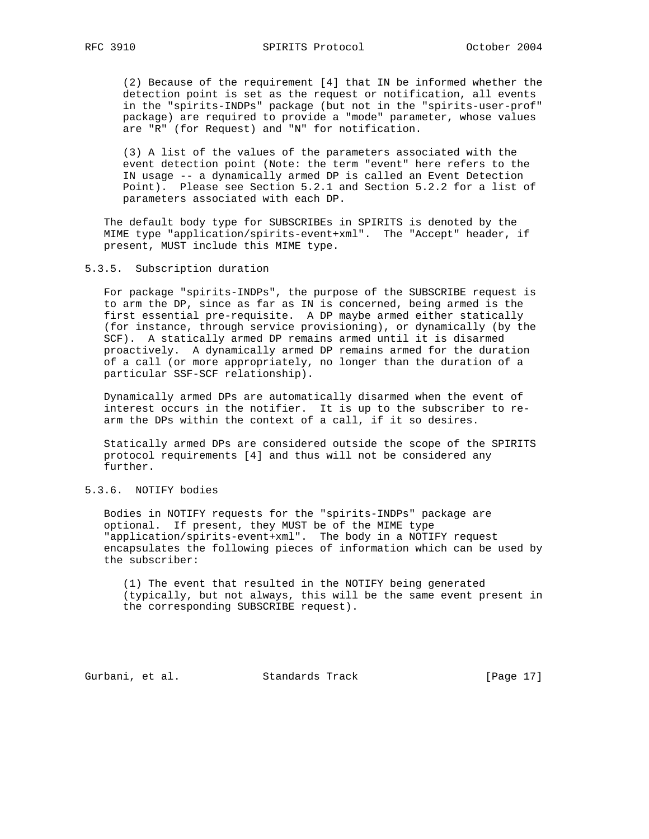(2) Because of the requirement [4] that IN be informed whether the detection point is set as the request or notification, all events in the "spirits-INDPs" package (but not in the "spirits-user-prof" package) are required to provide a "mode" parameter, whose values are "R" (for Request) and "N" for notification.

 (3) A list of the values of the parameters associated with the event detection point (Note: the term "event" here refers to the IN usage -- a dynamically armed DP is called an Event Detection Point). Please see Section 5.2.1 and Section 5.2.2 for a list of parameters associated with each DP.

 The default body type for SUBSCRIBEs in SPIRITS is denoted by the MIME type "application/spirits-event+xml". The "Accept" header, if present, MUST include this MIME type.

5.3.5. Subscription duration

 For package "spirits-INDPs", the purpose of the SUBSCRIBE request is to arm the DP, since as far as IN is concerned, being armed is the first essential pre-requisite. A DP maybe armed either statically (for instance, through service provisioning), or dynamically (by the SCF). A statically armed DP remains armed until it is disarmed proactively. A dynamically armed DP remains armed for the duration of a call (or more appropriately, no longer than the duration of a particular SSF-SCF relationship).

 Dynamically armed DPs are automatically disarmed when the event of interest occurs in the notifier. It is up to the subscriber to re arm the DPs within the context of a call, if it so desires.

 Statically armed DPs are considered outside the scope of the SPIRITS protocol requirements [4] and thus will not be considered any further.

# 5.3.6. NOTIFY bodies

 Bodies in NOTIFY requests for the "spirits-INDPs" package are optional. If present, they MUST be of the MIME type "application/spirits-event+xml". The body in a NOTIFY request encapsulates the following pieces of information which can be used by the subscriber:

 (1) The event that resulted in the NOTIFY being generated (typically, but not always, this will be the same event present in the corresponding SUBSCRIBE request).

Gurbani, et al. Standards Track [Page 17]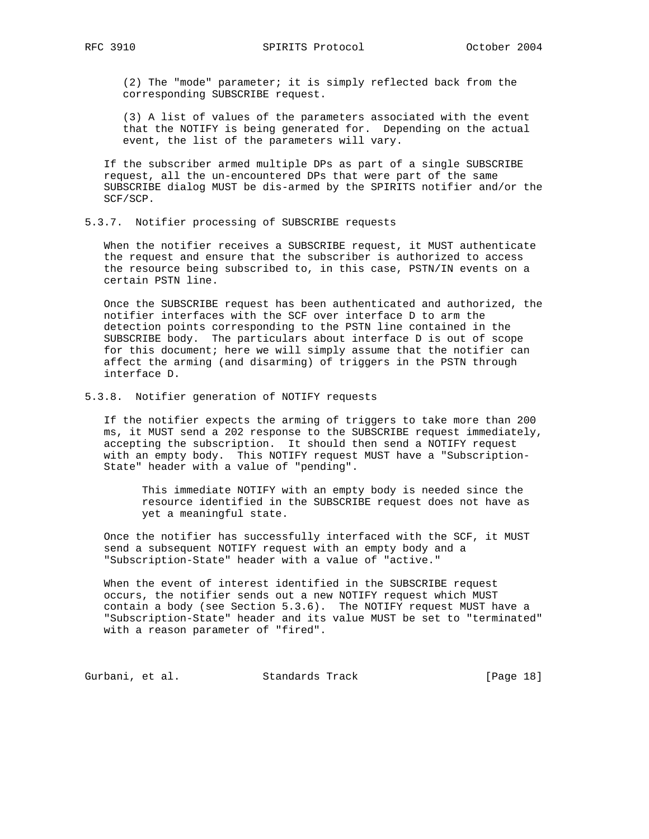(2) The "mode" parameter; it is simply reflected back from the corresponding SUBSCRIBE request.

 (3) A list of values of the parameters associated with the event that the NOTIFY is being generated for. Depending on the actual event, the list of the parameters will vary.

 If the subscriber armed multiple DPs as part of a single SUBSCRIBE request, all the un-encountered DPs that were part of the same SUBSCRIBE dialog MUST be dis-armed by the SPIRITS notifier and/or the SCF/SCP.

5.3.7. Notifier processing of SUBSCRIBE requests

 When the notifier receives a SUBSCRIBE request, it MUST authenticate the request and ensure that the subscriber is authorized to access the resource being subscribed to, in this case, PSTN/IN events on a certain PSTN line.

 Once the SUBSCRIBE request has been authenticated and authorized, the notifier interfaces with the SCF over interface D to arm the detection points corresponding to the PSTN line contained in the SUBSCRIBE body. The particulars about interface D is out of scope for this document; here we will simply assume that the notifier can affect the arming (and disarming) of triggers in the PSTN through interface D.

5.3.8. Notifier generation of NOTIFY requests

 If the notifier expects the arming of triggers to take more than 200 ms, it MUST send a 202 response to the SUBSCRIBE request immediately, accepting the subscription. It should then send a NOTIFY request with an empty body. This NOTIFY request MUST have a "Subscription- State" header with a value of "pending".

 This immediate NOTIFY with an empty body is needed since the resource identified in the SUBSCRIBE request does not have as yet a meaningful state.

 Once the notifier has successfully interfaced with the SCF, it MUST send a subsequent NOTIFY request with an empty body and a "Subscription-State" header with a value of "active."

 When the event of interest identified in the SUBSCRIBE request occurs, the notifier sends out a new NOTIFY request which MUST contain a body (see Section 5.3.6). The NOTIFY request MUST have a "Subscription-State" header and its value MUST be set to "terminated" with a reason parameter of "fired".

Gurbani, et al. Standards Track [Page 18]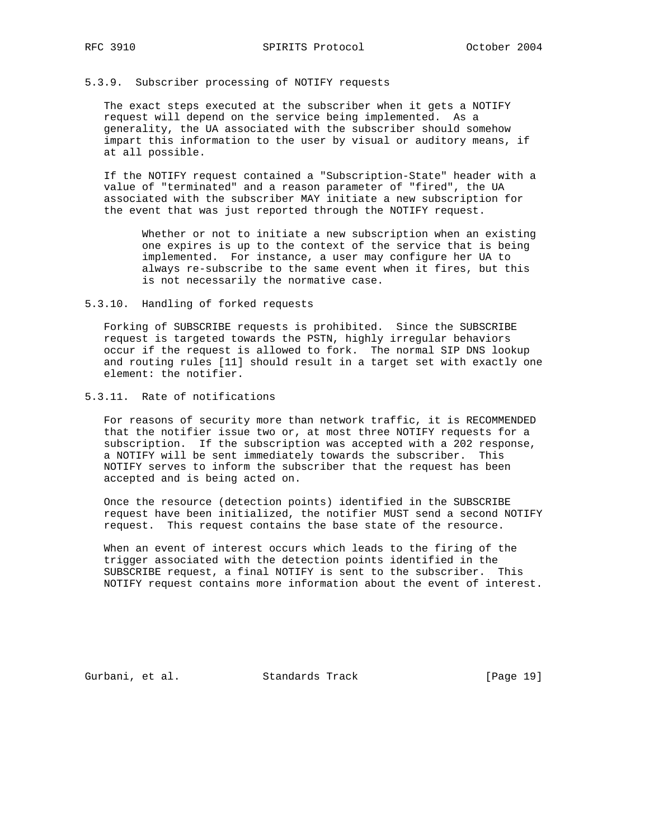#### 5.3.9. Subscriber processing of NOTIFY requests

 The exact steps executed at the subscriber when it gets a NOTIFY request will depend on the service being implemented. As a generality, the UA associated with the subscriber should somehow impart this information to the user by visual or auditory means, if at all possible.

 If the NOTIFY request contained a "Subscription-State" header with a value of "terminated" and a reason parameter of "fired", the UA associated with the subscriber MAY initiate a new subscription for the event that was just reported through the NOTIFY request.

 Whether or not to initiate a new subscription when an existing one expires is up to the context of the service that is being implemented. For instance, a user may configure her UA to always re-subscribe to the same event when it fires, but this is not necessarily the normative case.

5.3.10. Handling of forked requests

 Forking of SUBSCRIBE requests is prohibited. Since the SUBSCRIBE request is targeted towards the PSTN, highly irregular behaviors occur if the request is allowed to fork. The normal SIP DNS lookup and routing rules [11] should result in a target set with exactly one element: the notifier.

5.3.11. Rate of notifications

 For reasons of security more than network traffic, it is RECOMMENDED that the notifier issue two or, at most three NOTIFY requests for a subscription. If the subscription was accepted with a 202 response, a NOTIFY will be sent immediately towards the subscriber. This NOTIFY serves to inform the subscriber that the request has been accepted and is being acted on.

 Once the resource (detection points) identified in the SUBSCRIBE request have been initialized, the notifier MUST send a second NOTIFY request. This request contains the base state of the resource.

 When an event of interest occurs which leads to the firing of the trigger associated with the detection points identified in the SUBSCRIBE request, a final NOTIFY is sent to the subscriber. This NOTIFY request contains more information about the event of interest.

Gurbani, et al. Standards Track [Page 19]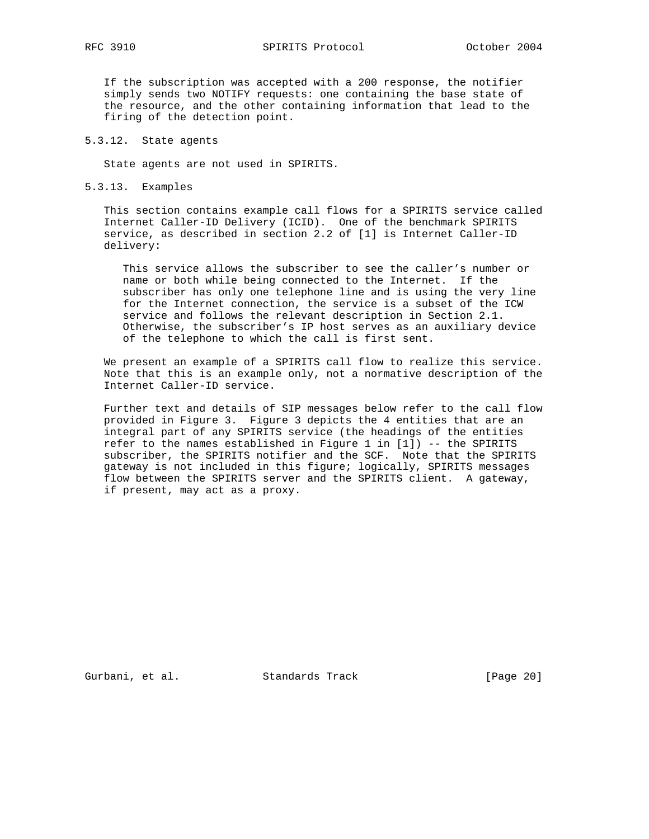RFC 3910 SPIRITS Protocol October 2004

 If the subscription was accepted with a 200 response, the notifier simply sends two NOTIFY requests: one containing the base state of the resource, and the other containing information that lead to the firing of the detection point.

5.3.12. State agents

State agents are not used in SPIRITS.

5.3.13. Examples

 This section contains example call flows for a SPIRITS service called Internet Caller-ID Delivery (ICID). One of the benchmark SPIRITS service, as described in section 2.2 of [1] is Internet Caller-ID delivery:

 This service allows the subscriber to see the caller's number or name or both while being connected to the Internet. If the subscriber has only one telephone line and is using the very line for the Internet connection, the service is a subset of the ICW service and follows the relevant description in Section 2.1. Otherwise, the subscriber's IP host serves as an auxiliary device of the telephone to which the call is first sent.

 We present an example of a SPIRITS call flow to realize this service. Note that this is an example only, not a normative description of the Internet Caller-ID service.

 Further text and details of SIP messages below refer to the call flow provided in Figure 3. Figure 3 depicts the 4 entities that are an integral part of any SPIRITS service (the headings of the entities refer to the names established in Figure 1 in [1]) -- the SPIRITS subscriber, the SPIRITS notifier and the SCF. Note that the SPIRITS gateway is not included in this figure; logically, SPIRITS messages flow between the SPIRITS server and the SPIRITS client. A gateway, if present, may act as a proxy.

Gurbani, et al. Standards Track [Page 20]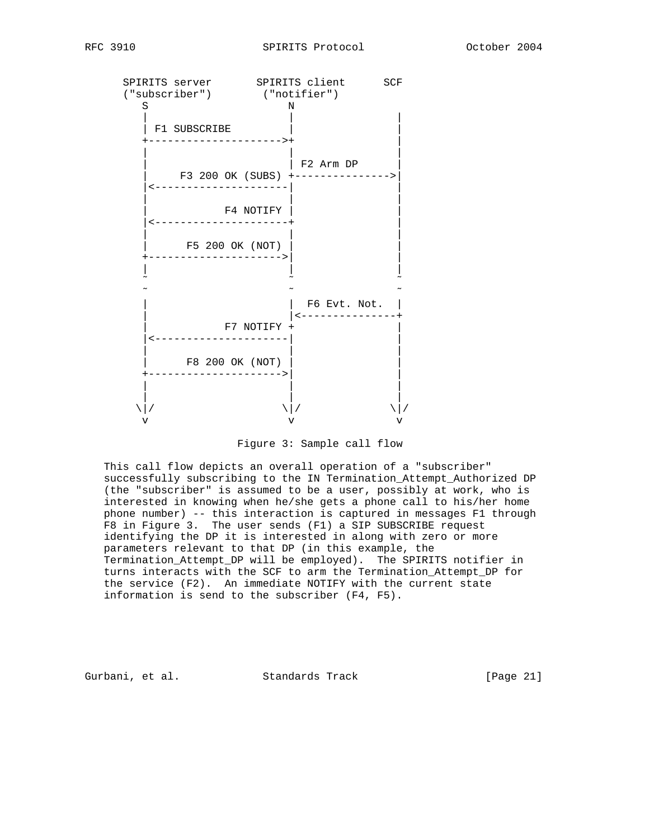

Figure 3: Sample call flow

 This call flow depicts an overall operation of a "subscriber" successfully subscribing to the IN Termination\_Attempt\_Authorized DP (the "subscriber" is assumed to be a user, possibly at work, who is interested in knowing when he/she gets a phone call to his/her home phone number) -- this interaction is captured in messages F1 through F8 in Figure 3. The user sends (F1) a SIP SUBSCRIBE request identifying the DP it is interested in along with zero or more parameters relevant to that DP (in this example, the Termination\_Attempt\_DP will be employed). The SPIRITS notifier in turns interacts with the SCF to arm the Termination\_Attempt\_DP for the service (F2). An immediate NOTIFY with the current state information is send to the subscriber (F4, F5).

Gurbani, et al. Standards Track [Page 21]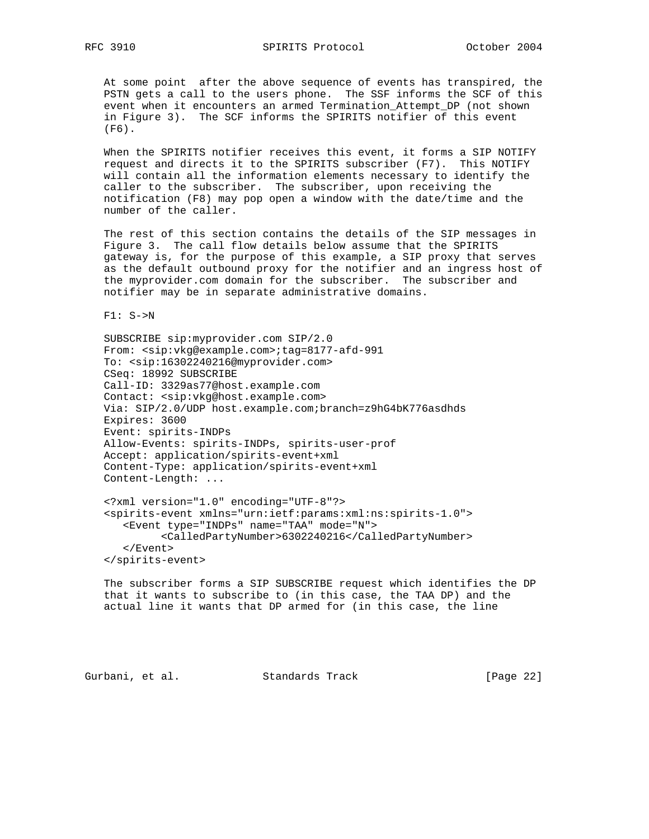At some point after the above sequence of events has transpired, the PSTN gets a call to the users phone. The SSF informs the SCF of this event when it encounters an armed Termination\_Attempt\_DP (not shown in Figure 3). The SCF informs the SPIRITS notifier of this event (F6).

 When the SPIRITS notifier receives this event, it forms a SIP NOTIFY request and directs it to the SPIRITS subscriber (F7). This NOTIFY will contain all the information elements necessary to identify the caller to the subscriber. The subscriber, upon receiving the notification (F8) may pop open a window with the date/time and the number of the caller.

 The rest of this section contains the details of the SIP messages in Figure 3. The call flow details below assume that the SPIRITS gateway is, for the purpose of this example, a SIP proxy that serves as the default outbound proxy for the notifier and an ingress host of the myprovider.com domain for the subscriber. The subscriber and notifier may be in separate administrative domains.

F1: S->N

 SUBSCRIBE sip:myprovider.com SIP/2.0 From: <sip:vkg@example.com>;tag=8177-afd-991 To: <sip:16302240216@myprovider.com> CSeq: 18992 SUBSCRIBE Call-ID: 3329as77@host.example.com Contact: <sip:vkg@host.example.com> Via: SIP/2.0/UDP host.example.com;branch=z9hG4bK776asdhds Expires: 3600 Event: spirits-INDPs Allow-Events: spirits-INDPs, spirits-user-prof Accept: application/spirits-event+xml Content-Type: application/spirits-event+xml Content-Length: ...

 <?xml version="1.0" encoding="UTF-8"?> <spirits-event xmlns="urn:ietf:params:xml:ns:spirits-1.0"> <Event type="INDPs" name="TAA" mode="N"> <CalledPartyNumber>6302240216</CalledPartyNumber> </Event> </spirits-event>

 The subscriber forms a SIP SUBSCRIBE request which identifies the DP that it wants to subscribe to (in this case, the TAA DP) and the actual line it wants that DP armed for (in this case, the line

Gurbani, et al. Standards Track [Page 22]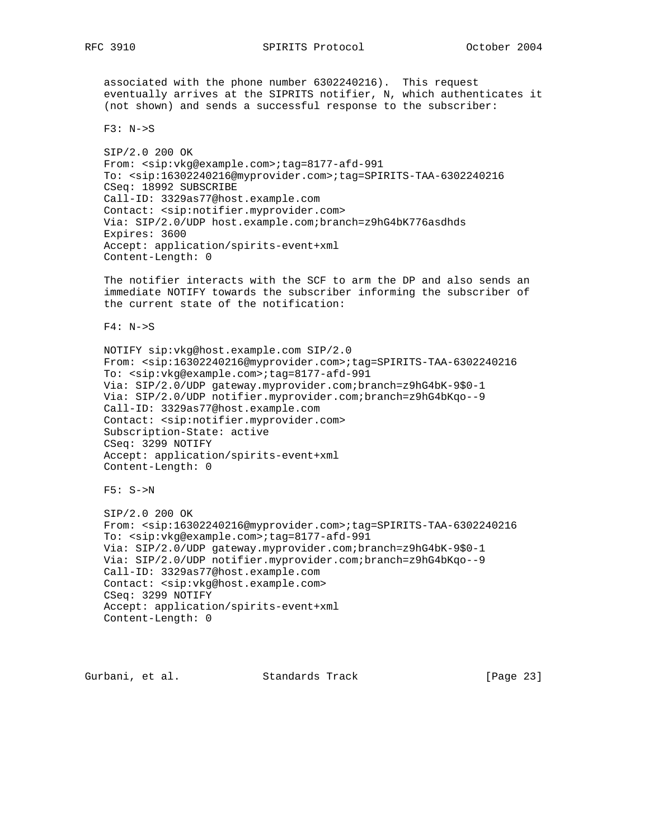associated with the phone number 6302240216). This request eventually arrives at the SIPRITS notifier, N, which authenticates it (not shown) and sends a successful response to the subscriber:

F3: N->S

 SIP/2.0 200 OK From: <sip:vkg@example.com>;tag=8177-afd-991 To: <sip:16302240216@myprovider.com>;tag=SPIRITS-TAA-6302240216 CSeq: 18992 SUBSCRIBE Call-ID: 3329as77@host.example.com Contact: <sip:notifier.myprovider.com> Via: SIP/2.0/UDP host.example.com;branch=z9hG4bK776asdhds Expires: 3600 Accept: application/spirits-event+xml Content-Length: 0

 The notifier interacts with the SCF to arm the DP and also sends an immediate NOTIFY towards the subscriber informing the subscriber of the current state of the notification:

F4: N->S

```
 NOTIFY sip:vkg@host.example.com SIP/2.0
 From: <sip:16302240216@myprovider.com>;tag=SPIRITS-TAA-6302240216
 To: <sip:vkg@example.com>;tag=8177-afd-991
 Via: SIP/2.0/UDP gateway.myprovider.com;branch=z9hG4bK-9$0-1
 Via: SIP/2.0/UDP notifier.myprovider.com;branch=z9hG4bKqo--9
 Call-ID: 3329as77@host.example.com
 Contact: <sip:notifier.myprovider.com>
 Subscription-State: active
 CSeq: 3299 NOTIFY
 Accept: application/spirits-event+xml
 Content-Length: 0
```
F5: S->N

```
 SIP/2.0 200 OK
 From: <sip:16302240216@myprovider.com>;tag=SPIRITS-TAA-6302240216
 To: <sip:vkg@example.com>;tag=8177-afd-991
 Via: SIP/2.0/UDP gateway.myprovider.com;branch=z9hG4bK-9$0-1
 Via: SIP/2.0/UDP notifier.myprovider.com;branch=z9hG4bKqo--9
 Call-ID: 3329as77@host.example.com
 Contact: <sip:vkg@host.example.com>
 CSeq: 3299 NOTIFY
 Accept: application/spirits-event+xml
 Content-Length: 0
```
Gurbani, et al. Standards Track [Page 23]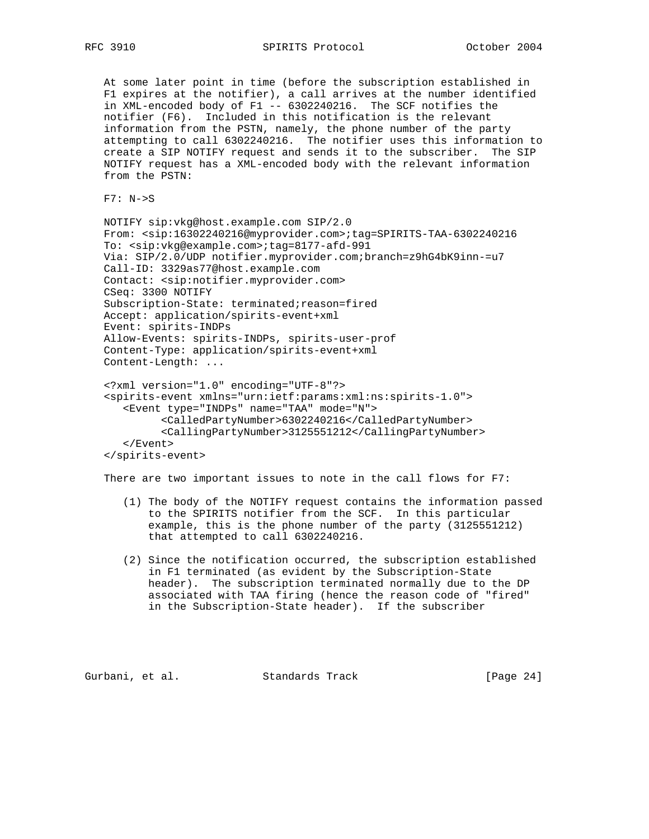RFC 3910 SPIRITS Protocol October 2004

 At some later point in time (before the subscription established in F1 expires at the notifier), a call arrives at the number identified in XML-encoded body of F1 -- 6302240216. The SCF notifies the notifier (F6). Included in this notification is the relevant information from the PSTN, namely, the phone number of the party attempting to call 6302240216. The notifier uses this information to create a SIP NOTIFY request and sends it to the subscriber. The SIP NOTIFY request has a XML-encoded body with the relevant information from the PSTN:

F7: N->S

 NOTIFY sip:vkg@host.example.com SIP/2.0 From: <sip:16302240216@myprovider.com>;tag=SPIRITS-TAA-6302240216 To: <sip:vkg@example.com>;tag=8177-afd-991 Via: SIP/2.0/UDP notifier.myprovider.com;branch=z9hG4bK9inn-=u7 Call-ID: 3329as77@host.example.com Contact: <sip:notifier.myprovider.com> CSeq: 3300 NOTIFY Subscription-State: terminated;reason=fired Accept: application/spirits-event+xml Event: spirits-INDPs Allow-Events: spirits-INDPs, spirits-user-prof Content-Type: application/spirits-event+xml Content-Length: ... <?xml version="1.0" encoding="UTF-8"?>

```
 <spirits-event xmlns="urn:ietf:params:xml:ns:spirits-1.0">
    <Event type="INDPs" name="TAA" mode="N">
          <CalledPartyNumber>6302240216</CalledPartyNumber>
          <CallingPartyNumber>3125551212</CallingPartyNumber>
    </Event>
 </spirits-event>
```
There are two important issues to note in the call flows for F7:

- (1) The body of the NOTIFY request contains the information passed to the SPIRITS notifier from the SCF. In this particular example, this is the phone number of the party (3125551212) that attempted to call 6302240216.
- (2) Since the notification occurred, the subscription established in F1 terminated (as evident by the Subscription-State header). The subscription terminated normally due to the DP associated with TAA firing (hence the reason code of "fired" in the Subscription-State header). If the subscriber

Gurbani, et al. Standards Track [Page 24]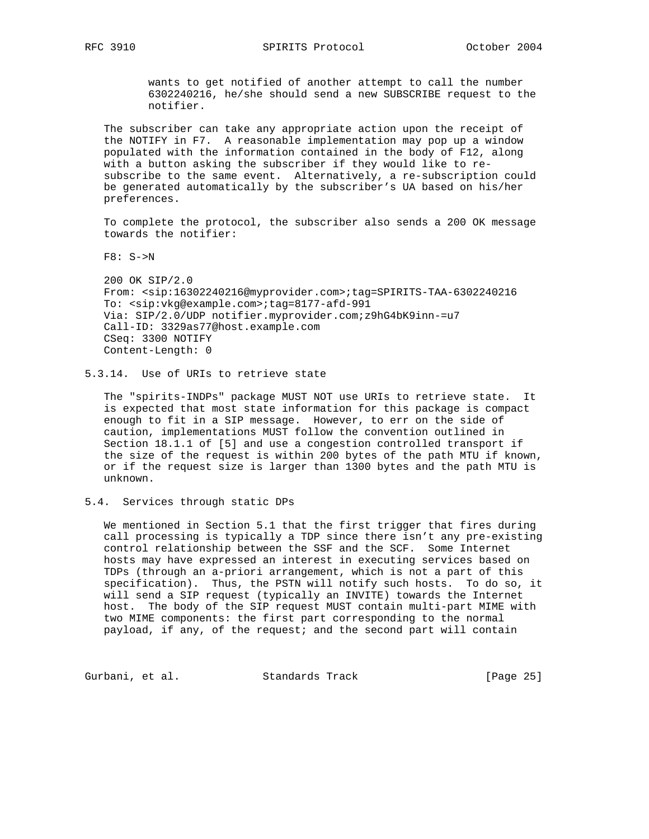wants to get notified of another attempt to call the number 6302240216, he/she should send a new SUBSCRIBE request to the notifier.

 The subscriber can take any appropriate action upon the receipt of the NOTIFY in F7. A reasonable implementation may pop up a window populated with the information contained in the body of F12, along with a button asking the subscriber if they would like to re subscribe to the same event. Alternatively, a re-subscription could be generated automatically by the subscriber's UA based on his/her preferences.

 To complete the protocol, the subscriber also sends a 200 OK message towards the notifier:

F8: S->N

 200 OK SIP/2.0 From: <sip:16302240216@myprovider.com>;tag=SPIRITS-TAA-6302240216 To: <sip:vkg@example.com>;tag=8177-afd-991 Via: SIP/2.0/UDP notifier.myprovider.com;z9hG4bK9inn-=u7 Call-ID: 3329as77@host.example.com CSeq: 3300 NOTIFY Content-Length: 0

5.3.14. Use of URIs to retrieve state

 The "spirits-INDPs" package MUST NOT use URIs to retrieve state. It is expected that most state information for this package is compact enough to fit in a SIP message. However, to err on the side of caution, implementations MUST follow the convention outlined in Section 18.1.1 of [5] and use a congestion controlled transport if the size of the request is within 200 bytes of the path MTU if known, or if the request size is larger than 1300 bytes and the path MTU is unknown.

#### 5.4. Services through static DPs

 We mentioned in Section 5.1 that the first trigger that fires during call processing is typically a TDP since there isn't any pre-existing control relationship between the SSF and the SCF. Some Internet hosts may have expressed an interest in executing services based on TDPs (through an a-priori arrangement, which is not a part of this specification). Thus, the PSTN will notify such hosts. To do so, it will send a SIP request (typically an INVITE) towards the Internet host. The body of the SIP request MUST contain multi-part MIME with two MIME components: the first part corresponding to the normal payload, if any, of the request; and the second part will contain

Gurbani, et al. Standards Track [Page 25]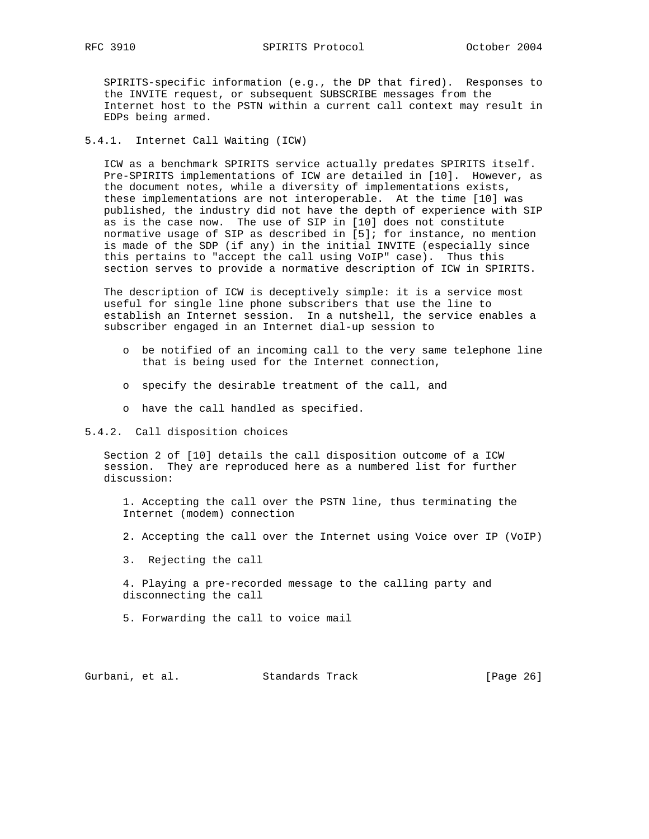SPIRITS-specific information (e.g., the DP that fired). Responses to the INVITE request, or subsequent SUBSCRIBE messages from the Internet host to the PSTN within a current call context may result in EDPs being armed.

## 5.4.1. Internet Call Waiting (ICW)

 ICW as a benchmark SPIRITS service actually predates SPIRITS itself. Pre-SPIRITS implementations of ICW are detailed in [10]. However, as the document notes, while a diversity of implementations exists, these implementations are not interoperable. At the time [10] was published, the industry did not have the depth of experience with SIP as is the case now. The use of SIP in [10] does not constitute normative usage of SIP as described in [5]; for instance, no mention is made of the SDP (if any) in the initial INVITE (especially since this pertains to "accept the call using VoIP" case). Thus this section serves to provide a normative description of ICW in SPIRITS.

 The description of ICW is deceptively simple: it is a service most useful for single line phone subscribers that use the line to establish an Internet session. In a nutshell, the service enables a subscriber engaged in an Internet dial-up session to

- o be notified of an incoming call to the very same telephone line that is being used for the Internet connection,
- o specify the desirable treatment of the call, and
- o have the call handled as specified.

5.4.2. Call disposition choices

 Section 2 of [10] details the call disposition outcome of a ICW session. They are reproduced here as a numbered list for further discussion:

 1. Accepting the call over the PSTN line, thus terminating the Internet (modem) connection

2. Accepting the call over the Internet using Voice over IP (VoIP)

3. Rejecting the call

 4. Playing a pre-recorded message to the calling party and disconnecting the call

5. Forwarding the call to voice mail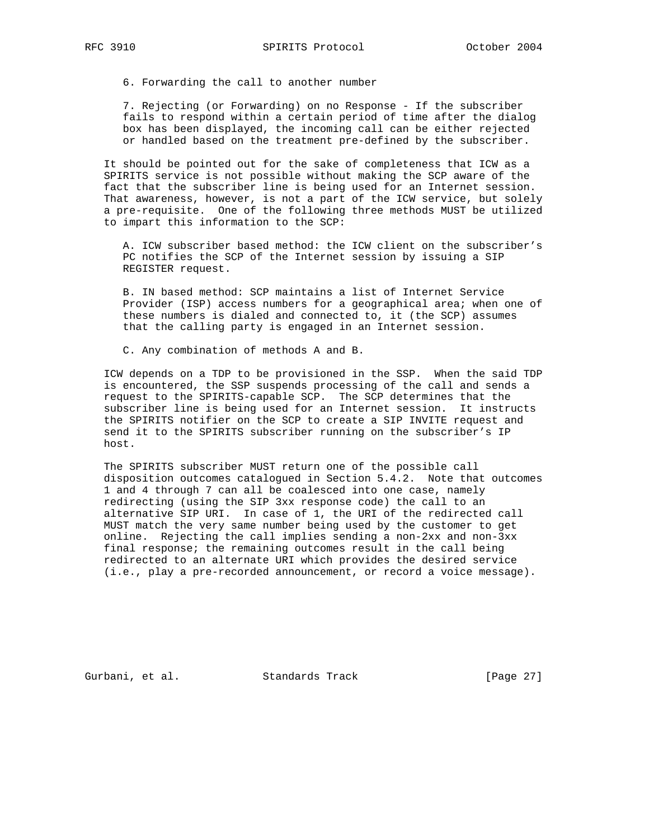6. Forwarding the call to another number

 7. Rejecting (or Forwarding) on no Response - If the subscriber fails to respond within a certain period of time after the dialog box has been displayed, the incoming call can be either rejected or handled based on the treatment pre-defined by the subscriber.

 It should be pointed out for the sake of completeness that ICW as a SPIRITS service is not possible without making the SCP aware of the fact that the subscriber line is being used for an Internet session. That awareness, however, is not a part of the ICW service, but solely a pre-requisite. One of the following three methods MUST be utilized to impart this information to the SCP:

 A. ICW subscriber based method: the ICW client on the subscriber's PC notifies the SCP of the Internet session by issuing a SIP REGISTER request.

 B. IN based method: SCP maintains a list of Internet Service Provider (ISP) access numbers for a geographical area; when one of these numbers is dialed and connected to, it (the SCP) assumes that the calling party is engaged in an Internet session.

C. Any combination of methods A and B.

 ICW depends on a TDP to be provisioned in the SSP. When the said TDP is encountered, the SSP suspends processing of the call and sends a request to the SPIRITS-capable SCP. The SCP determines that the subscriber line is being used for an Internet session. It instructs the SPIRITS notifier on the SCP to create a SIP INVITE request and send it to the SPIRITS subscriber running on the subscriber's IP host.

 The SPIRITS subscriber MUST return one of the possible call disposition outcomes catalogued in Section 5.4.2. Note that outcomes 1 and 4 through 7 can all be coalesced into one case, namely redirecting (using the SIP 3xx response code) the call to an alternative SIP URI. In case of 1, the URI of the redirected call MUST match the very same number being used by the customer to get online. Rejecting the call implies sending a non-2xx and non-3xx final response; the remaining outcomes result in the call being redirected to an alternate URI which provides the desired service (i.e., play a pre-recorded announcement, or record a voice message).

Gurbani, et al. Standards Track [Page 27]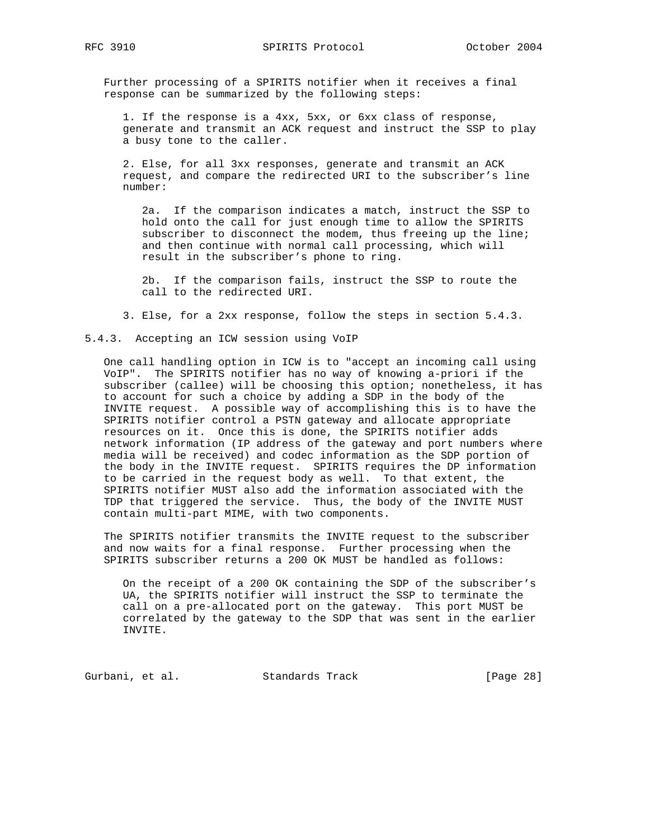Further processing of a SPIRITS notifier when it receives a final response can be summarized by the following steps:

 1. If the response is a 4xx, 5xx, or 6xx class of response, generate and transmit an ACK request and instruct the SSP to play a busy tone to the caller.

 2. Else, for all 3xx responses, generate and transmit an ACK request, and compare the redirected URI to the subscriber's line number:

 2a. If the comparison indicates a match, instruct the SSP to hold onto the call for just enough time to allow the SPIRITS subscriber to disconnect the modem, thus freeing up the line; and then continue with normal call processing, which will result in the subscriber's phone to ring.

 2b. If the comparison fails, instruct the SSP to route the call to the redirected URI.

3. Else, for a 2xx response, follow the steps in section 5.4.3.

5.4.3. Accepting an ICW session using VoIP

 One call handling option in ICW is to "accept an incoming call using VoIP". The SPIRITS notifier has no way of knowing a-priori if the subscriber (callee) will be choosing this option; nonetheless, it has to account for such a choice by adding a SDP in the body of the INVITE request. A possible way of accomplishing this is to have the SPIRITS notifier control a PSTN gateway and allocate appropriate resources on it. Once this is done, the SPIRITS notifier adds network information (IP address of the gateway and port numbers where media will be received) and codec information as the SDP portion of the body in the INVITE request. SPIRITS requires the DP information to be carried in the request body as well. To that extent, the SPIRITS notifier MUST also add the information associated with the TDP that triggered the service. Thus, the body of the INVITE MUST contain multi-part MIME, with two components.

 The SPIRITS notifier transmits the INVITE request to the subscriber and now waits for a final response. Further processing when the SPIRITS subscriber returns a 200 OK MUST be handled as follows:

 On the receipt of a 200 OK containing the SDP of the subscriber's UA, the SPIRITS notifier will instruct the SSP to terminate the call on a pre-allocated port on the gateway. This port MUST be correlated by the gateway to the SDP that was sent in the earlier INVITE.

Gurbani, et al. Standards Track [Page 28]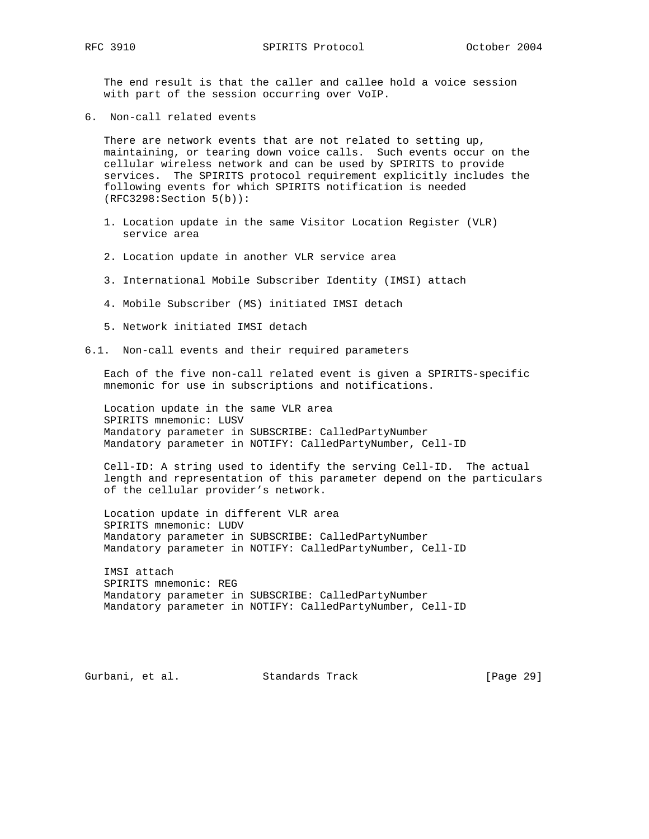The end result is that the caller and callee hold a voice session with part of the session occurring over VoIP.

6. Non-call related events

 There are network events that are not related to setting up, maintaining, or tearing down voice calls. Such events occur on the cellular wireless network and can be used by SPIRITS to provide services. The SPIRITS protocol requirement explicitly includes the following events for which SPIRITS notification is needed (RFC3298:Section 5(b)):

- 1. Location update in the same Visitor Location Register (VLR) service area
- 2. Location update in another VLR service area
- 3. International Mobile Subscriber Identity (IMSI) attach
- 4. Mobile Subscriber (MS) initiated IMSI detach
- 5. Network initiated IMSI detach
- 6.1. Non-call events and their required parameters

 Each of the five non-call related event is given a SPIRITS-specific mnemonic for use in subscriptions and notifications.

 Location update in the same VLR area SPIRITS mnemonic: LUSV Mandatory parameter in SUBSCRIBE: CalledPartyNumber Mandatory parameter in NOTIFY: CalledPartyNumber, Cell-ID

 Cell-ID: A string used to identify the serving Cell-ID. The actual length and representation of this parameter depend on the particulars of the cellular provider's network.

 Location update in different VLR area SPIRITS mnemonic: LUDV Mandatory parameter in SUBSCRIBE: CalledPartyNumber Mandatory parameter in NOTIFY: CalledPartyNumber, Cell-ID

 IMSI attach SPIRITS mnemonic: REG Mandatory parameter in SUBSCRIBE: CalledPartyNumber Mandatory parameter in NOTIFY: CalledPartyNumber, Cell-ID

Gurbani, et al. Standards Track [Page 29]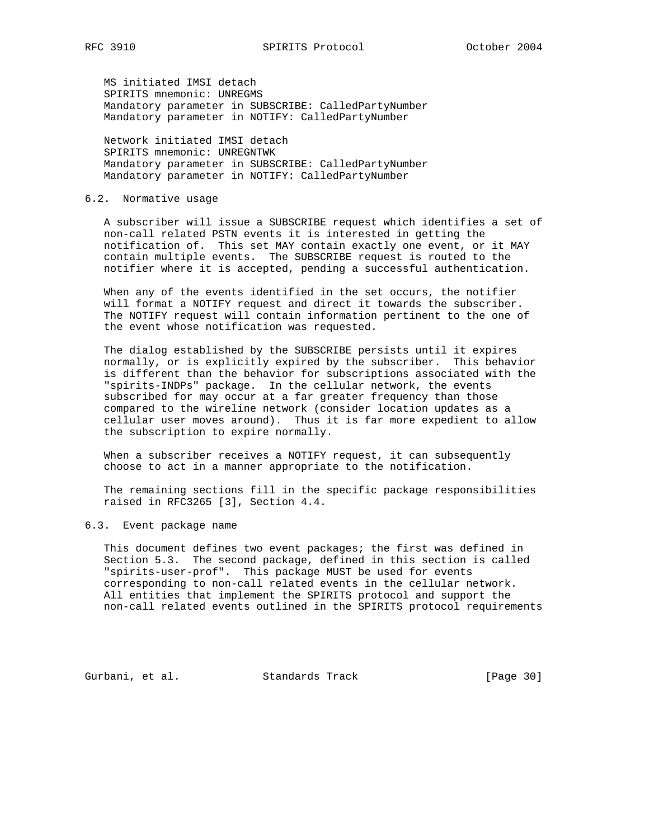MS initiated IMSI detach SPIRITS mnemonic: UNREGMS Mandatory parameter in SUBSCRIBE: CalledPartyNumber Mandatory parameter in NOTIFY: CalledPartyNumber

 Network initiated IMSI detach SPIRITS mnemonic: UNREGNTWK Mandatory parameter in SUBSCRIBE: CalledPartyNumber Mandatory parameter in NOTIFY: CalledPartyNumber

# 6.2. Normative usage

 A subscriber will issue a SUBSCRIBE request which identifies a set of non-call related PSTN events it is interested in getting the notification of. This set MAY contain exactly one event, or it MAY contain multiple events. The SUBSCRIBE request is routed to the notifier where it is accepted, pending a successful authentication.

 When any of the events identified in the set occurs, the notifier will format a NOTIFY request and direct it towards the subscriber. The NOTIFY request will contain information pertinent to the one of the event whose notification was requested.

 The dialog established by the SUBSCRIBE persists until it expires normally, or is explicitly expired by the subscriber. This behavior is different than the behavior for subscriptions associated with the "spirits-INDPs" package. In the cellular network, the events subscribed for may occur at a far greater frequency than those compared to the wireline network (consider location updates as a cellular user moves around). Thus it is far more expedient to allow the subscription to expire normally.

 When a subscriber receives a NOTIFY request, it can subsequently choose to act in a manner appropriate to the notification.

 The remaining sections fill in the specific package responsibilities raised in RFC3265 [3], Section 4.4.

## 6.3. Event package name

 This document defines two event packages; the first was defined in Section 5.3. The second package, defined in this section is called "spirits-user-prof". This package MUST be used for events corresponding to non-call related events in the cellular network. All entities that implement the SPIRITS protocol and support the non-call related events outlined in the SPIRITS protocol requirements

Gurbani, et al. Standards Track [Page 30]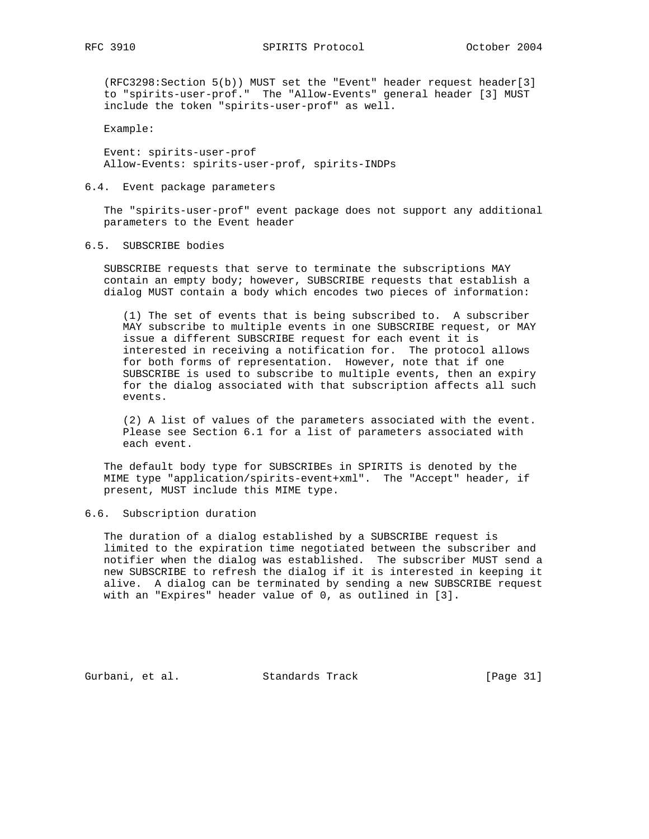(RFC3298:Section 5(b)) MUST set the "Event" header request header[3] to "spirits-user-prof." The "Allow-Events" general header [3] MUST include the token "spirits-user-prof" as well.

Example:

 Event: spirits-user-prof Allow-Events: spirits-user-prof, spirits-INDPs

# 6.4. Event package parameters

 The "spirits-user-prof" event package does not support any additional parameters to the Event header

6.5. SUBSCRIBE bodies

 SUBSCRIBE requests that serve to terminate the subscriptions MAY contain an empty body; however, SUBSCRIBE requests that establish a dialog MUST contain a body which encodes two pieces of information:

 (1) The set of events that is being subscribed to. A subscriber MAY subscribe to multiple events in one SUBSCRIBE request, or MAY issue a different SUBSCRIBE request for each event it is interested in receiving a notification for. The protocol allows for both forms of representation. However, note that if one SUBSCRIBE is used to subscribe to multiple events, then an expiry for the dialog associated with that subscription affects all such events.

 (2) A list of values of the parameters associated with the event. Please see Section 6.1 for a list of parameters associated with each event.

 The default body type for SUBSCRIBEs in SPIRITS is denoted by the MIME type "application/spirits-event+xml". The "Accept" header, if present, MUST include this MIME type.

## 6.6. Subscription duration

 The duration of a dialog established by a SUBSCRIBE request is limited to the expiration time negotiated between the subscriber and notifier when the dialog was established. The subscriber MUST send a new SUBSCRIBE to refresh the dialog if it is interested in keeping it alive. A dialog can be terminated by sending a new SUBSCRIBE request with an "Expires" header value of 0, as outlined in [3].

Gurbani, et al. Standards Track [Page 31]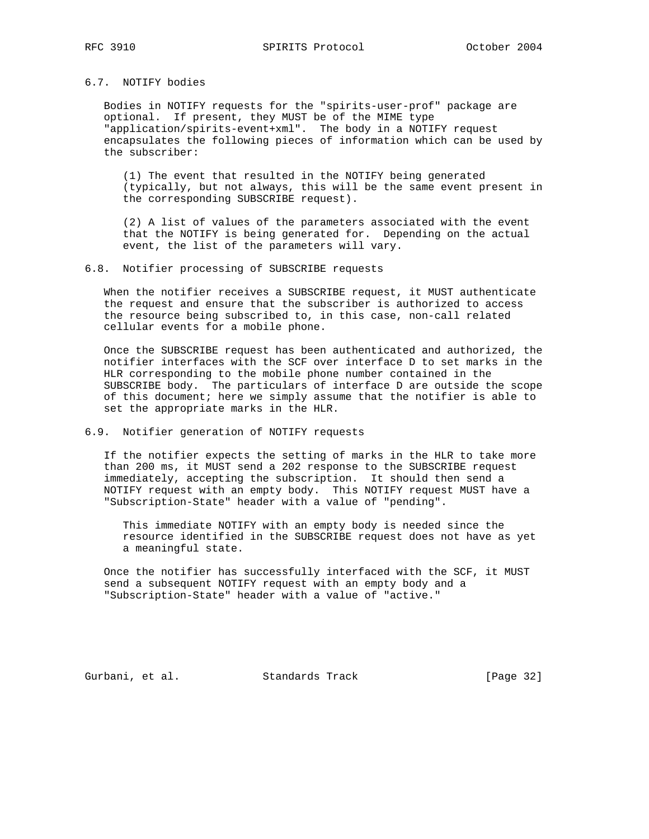# 6.7. NOTIFY bodies

 Bodies in NOTIFY requests for the "spirits-user-prof" package are optional. If present, they MUST be of the MIME type "application/spirits-event+xml". The body in a NOTIFY request encapsulates the following pieces of information which can be used by the subscriber:

 (1) The event that resulted in the NOTIFY being generated (typically, but not always, this will be the same event present in the corresponding SUBSCRIBE request).

 (2) A list of values of the parameters associated with the event that the NOTIFY is being generated for. Depending on the actual event, the list of the parameters will vary.

#### 6.8. Notifier processing of SUBSCRIBE requests

 When the notifier receives a SUBSCRIBE request, it MUST authenticate the request and ensure that the subscriber is authorized to access the resource being subscribed to, in this case, non-call related cellular events for a mobile phone.

 Once the SUBSCRIBE request has been authenticated and authorized, the notifier interfaces with the SCF over interface D to set marks in the HLR corresponding to the mobile phone number contained in the SUBSCRIBE body. The particulars of interface D are outside the scope of this document; here we simply assume that the notifier is able to set the appropriate marks in the HLR.

#### 6.9. Notifier generation of NOTIFY requests

 If the notifier expects the setting of marks in the HLR to take more than 200 ms, it MUST send a 202 response to the SUBSCRIBE request immediately, accepting the subscription. It should then send a NOTIFY request with an empty body. This NOTIFY request MUST have a "Subscription-State" header with a value of "pending".

 This immediate NOTIFY with an empty body is needed since the resource identified in the SUBSCRIBE request does not have as yet a meaningful state.

 Once the notifier has successfully interfaced with the SCF, it MUST send a subsequent NOTIFY request with an empty body and a "Subscription-State" header with a value of "active."

Gurbani, et al. Standards Track [Page 32]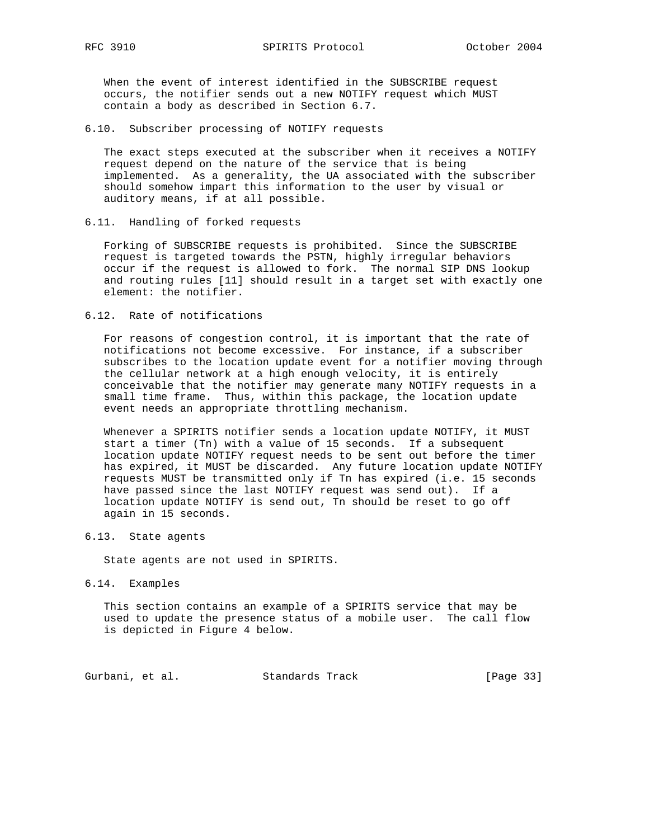When the event of interest identified in the SUBSCRIBE request occurs, the notifier sends out a new NOTIFY request which MUST contain a body as described in Section 6.7.

6.10. Subscriber processing of NOTIFY requests

 The exact steps executed at the subscriber when it receives a NOTIFY request depend on the nature of the service that is being implemented. As a generality, the UA associated with the subscriber should somehow impart this information to the user by visual or auditory means, if at all possible.

6.11. Handling of forked requests

 Forking of SUBSCRIBE requests is prohibited. Since the SUBSCRIBE request is targeted towards the PSTN, highly irregular behaviors occur if the request is allowed to fork. The normal SIP DNS lookup and routing rules [11] should result in a target set with exactly one element: the notifier.

6.12. Rate of notifications

 For reasons of congestion control, it is important that the rate of notifications not become excessive. For instance, if a subscriber subscribes to the location update event for a notifier moving through the cellular network at a high enough velocity, it is entirely conceivable that the notifier may generate many NOTIFY requests in a small time frame. Thus, within this package, the location update event needs an appropriate throttling mechanism.

 Whenever a SPIRITS notifier sends a location update NOTIFY, it MUST start a timer (Tn) with a value of 15 seconds. If a subsequent location update NOTIFY request needs to be sent out before the timer has expired, it MUST be discarded. Any future location update NOTIFY requests MUST be transmitted only if Tn has expired (i.e. 15 seconds have passed since the last NOTIFY request was send out). If a location update NOTIFY is send out, Tn should be reset to go off again in 15 seconds.

6.13. State agents

State agents are not used in SPIRITS.

6.14. Examples

 This section contains an example of a SPIRITS service that may be used to update the presence status of a mobile user. The call flow is depicted in Figure 4 below.

Gurbani, et al. Standards Track [Page 33]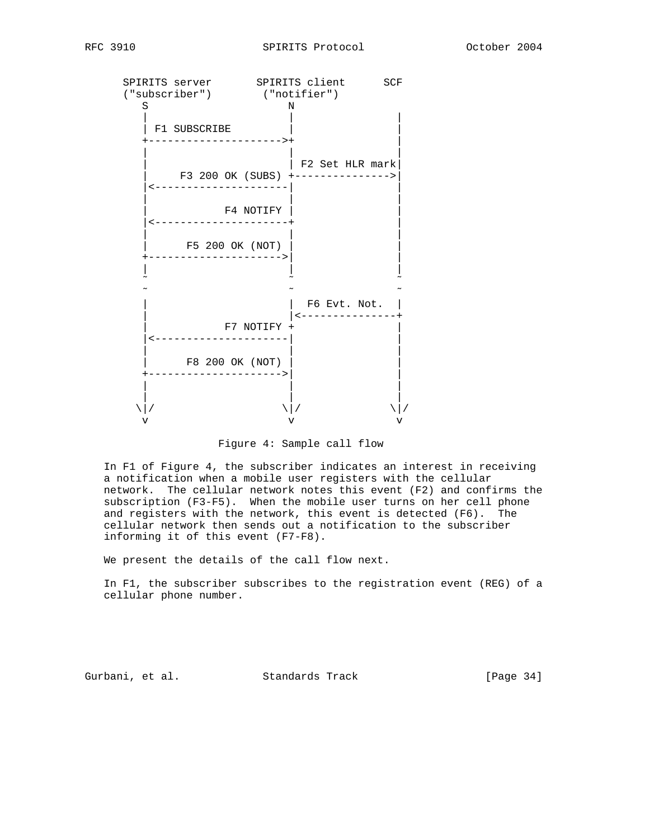

Figure 4: Sample call flow

 In F1 of Figure 4, the subscriber indicates an interest in receiving a notification when a mobile user registers with the cellular network. The cellular network notes this event (F2) and confirms the subscription (F3-F5). When the mobile user turns on her cell phone and registers with the network, this event is detected (F6). The cellular network then sends out a notification to the subscriber informing it of this event (F7-F8).

We present the details of the call flow next.

 In F1, the subscriber subscribes to the registration event (REG) of a cellular phone number.

Gurbani, et al. Standards Track [Page 34]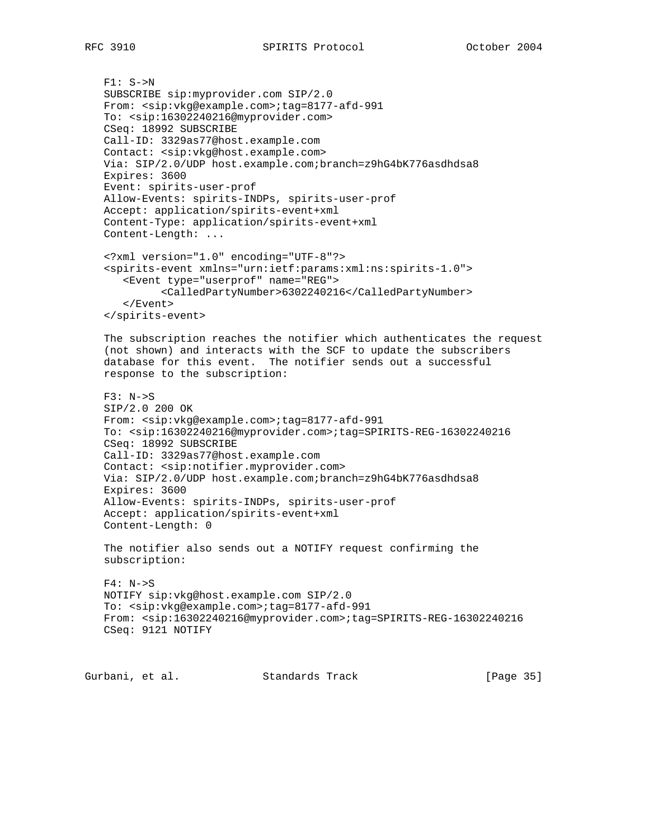```
 F1: S->N
 SUBSCRIBE sip:myprovider.com SIP/2.0
 From: <sip:vkg@example.com>;tag=8177-afd-991
 To: <sip:16302240216@myprovider.com>
 CSeq: 18992 SUBSCRIBE
 Call-ID: 3329as77@host.example.com
 Contact: <sip:vkg@host.example.com>
 Via: SIP/2.0/UDP host.example.com;branch=z9hG4bK776asdhdsa8
 Expires: 3600
 Event: spirits-user-prof
 Allow-Events: spirits-INDPs, spirits-user-prof
 Accept: application/spirits-event+xml
 Content-Type: application/spirits-event+xml
 Content-Length: ...
 <?xml version="1.0" encoding="UTF-8"?>
 <spirits-event xmlns="urn:ietf:params:xml:ns:spirits-1.0">
    <Event type="userprof" name="REG">
          <CalledPartyNumber>6302240216</CalledPartyNumber>
    </Event>
 </spirits-event>
 The subscription reaches the notifier which authenticates the request
 (not shown) and interacts with the SCF to update the subscribers
 database for this event. The notifier sends out a successful
 response to the subscription:
 F3: N->S
 SIP/2.0 200 OK
 From: <sip:vkg@example.com>;tag=8177-afd-991
 To: <sip:16302240216@myprovider.com>;tag=SPIRITS-REG-16302240216
 CSeq: 18992 SUBSCRIBE
 Call-ID: 3329as77@host.example.com
 Contact: <sip:notifier.myprovider.com>
 Via: SIP/2.0/UDP host.example.com;branch=z9hG4bK776asdhdsa8
 Expires: 3600
 Allow-Events: spirits-INDPs, spirits-user-prof
 Accept: application/spirits-event+xml
 Content-Length: 0
 The notifier also sends out a NOTIFY request confirming the
 subscription:
 F4: N->S
 NOTIFY sip:vkg@host.example.com SIP/2.0
 To: <sip:vkg@example.com>;tag=8177-afd-991
 From: <sip:16302240216@myprovider.com>;tag=SPIRITS-REG-16302240216
 CSeq: 9121 NOTIFY
```
Gurbani, et al. Standards Track [Page 35]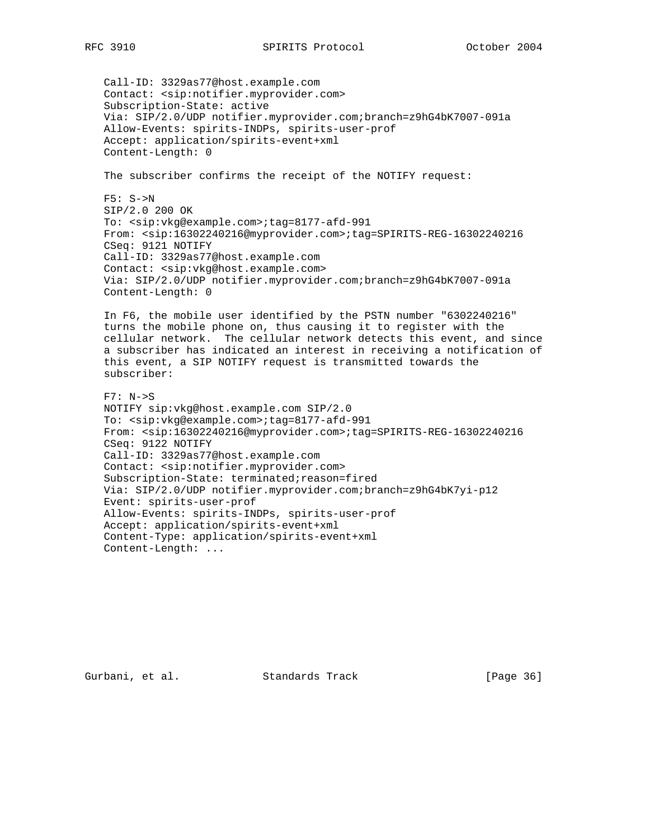Call-ID: 3329as77@host.example.com Contact: <sip:notifier.myprovider.com> Subscription-State: active Via: SIP/2.0/UDP notifier.myprovider.com;branch=z9hG4bK7007-091a Allow-Events: spirits-INDPs, spirits-user-prof Accept: application/spirits-event+xml Content-Length: 0

The subscriber confirms the receipt of the NOTIFY request:

 F5: S->N SIP/2.0 200 OK To: <sip:vkg@example.com>;tag=8177-afd-991 From: <sip:16302240216@myprovider.com>;tag=SPIRITS-REG-16302240216 CSeq: 9121 NOTIFY Call-ID: 3329as77@host.example.com Contact: <sip:vkg@host.example.com> Via: SIP/2.0/UDP notifier.myprovider.com;branch=z9hG4bK7007-091a Content-Length: 0

 In F6, the mobile user identified by the PSTN number "6302240216" turns the mobile phone on, thus causing it to register with the cellular network. The cellular network detects this event, and since a subscriber has indicated an interest in receiving a notification of this event, a SIP NOTIFY request is transmitted towards the subscriber:

```
 F7: N->S
 NOTIFY sip:vkg@host.example.com SIP/2.0
 To: <sip:vkg@example.com>;tag=8177-afd-991
 From: <sip:16302240216@myprovider.com>;tag=SPIRITS-REG-16302240216
 CSeq: 9122 NOTIFY
 Call-ID: 3329as77@host.example.com
 Contact: <sip:notifier.myprovider.com>
 Subscription-State: terminated;reason=fired
 Via: SIP/2.0/UDP notifier.myprovider.com;branch=z9hG4bK7yi-p12
 Event: spirits-user-prof
 Allow-Events: spirits-INDPs, spirits-user-prof
 Accept: application/spirits-event+xml
 Content-Type: application/spirits-event+xml
 Content-Length: ...
```
Gurbani, et al. Standards Track [Page 36]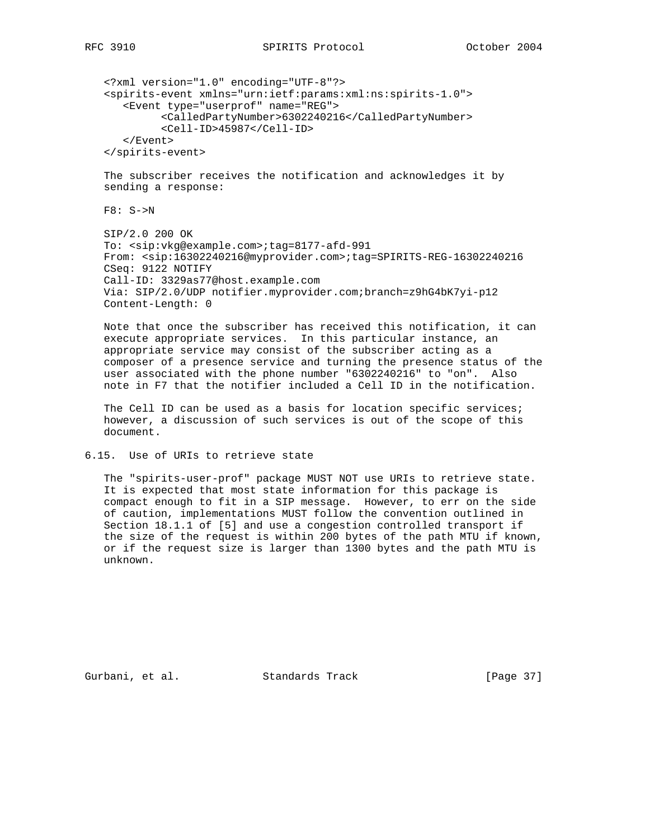```
 <?xml version="1.0" encoding="UTF-8"?>
 <spirits-event xmlns="urn:ietf:params:xml:ns:spirits-1.0">
    <Event type="userprof" name="REG">
          <CalledPartyNumber>6302240216</CalledPartyNumber>
          <Cell-ID>45987</Cell-ID>
    </Event>
 </spirits-event>
```
 The subscriber receives the notification and acknowledges it by sending a response:

F8: S->N

```
 SIP/2.0 200 OK
 To: <sip:vkg@example.com>;tag=8177-afd-991
 From: <sip:16302240216@myprovider.com>;tag=SPIRITS-REG-16302240216
 CSeq: 9122 NOTIFY
 Call-ID: 3329as77@host.example.com
 Via: SIP/2.0/UDP notifier.myprovider.com;branch=z9hG4bK7yi-p12
 Content-Length: 0
```
 Note that once the subscriber has received this notification, it can execute appropriate services. In this particular instance, an appropriate service may consist of the subscriber acting as a composer of a presence service and turning the presence status of the user associated with the phone number "6302240216" to "on". Also note in F7 that the notifier included a Cell ID in the notification.

 The Cell ID can be used as a basis for location specific services; however, a discussion of such services is out of the scope of this document.

6.15. Use of URIs to retrieve state

 The "spirits-user-prof" package MUST NOT use URIs to retrieve state. It is expected that most state information for this package is compact enough to fit in a SIP message. However, to err on the side of caution, implementations MUST follow the convention outlined in Section 18.1.1 of [5] and use a congestion controlled transport if the size of the request is within 200 bytes of the path MTU if known, or if the request size is larger than 1300 bytes and the path MTU is unknown.

Gurbani, et al. Standards Track [Page 37]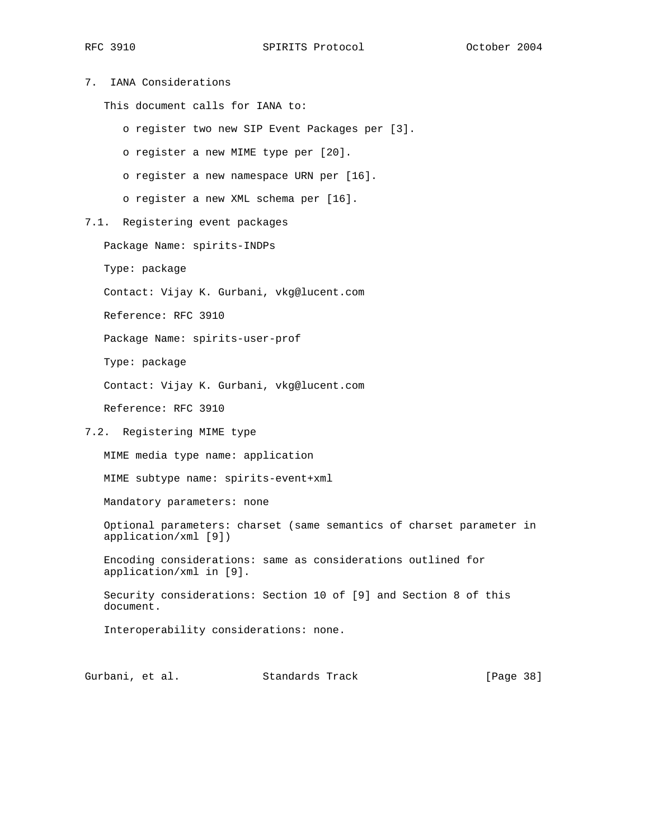7. IANA Considerations

# This document calls for IANA to: o register two new SIP Event Packages per [3]. o register a new MIME type per [20]. o register a new namespace URN per [16]. o register a new XML schema per [16]. 7.1. Registering event packages Package Name: spirits-INDPs Type: package Contact: Vijay K. Gurbani, vkg@lucent.com Reference: RFC 3910 Package Name: spirits-user-prof Type: package Contact: Vijay K. Gurbani, vkg@lucent.com Reference: RFC 3910 7.2. Registering MIME type MIME media type name: application MIME subtype name: spirits-event+xml Mandatory parameters: none Optional parameters: charset (same semantics of charset parameter in

application/xml [9])

 Encoding considerations: same as considerations outlined for application/xml in [9].

 Security considerations: Section 10 of [9] and Section 8 of this document.

Interoperability considerations: none.

Gurbani, et al. Standards Track [Page 38]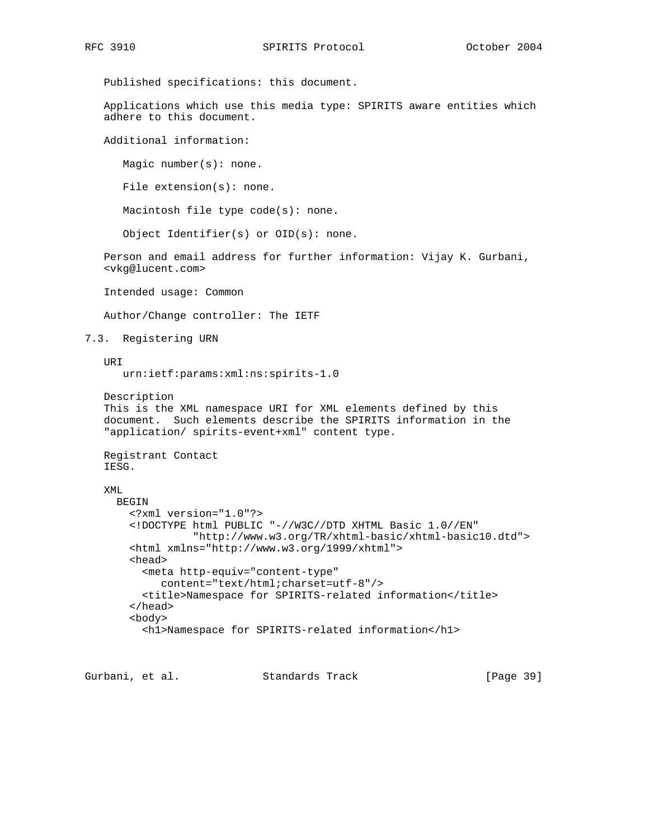Published specifications: this document.

 Applications which use this media type: SPIRITS aware entities which adhere to this document.

Additional information:

Magic number(s): none.

File extension(s): none.

Macintosh file type code(s): none.

Object Identifier(s) or OID(s): none.

 Person and email address for further information: Vijay K. Gurbani, <vkg@lucent.com>

Intended usage: Common

Author/Change controller: The IETF

7.3. Registering URN

T **HT** 

urn:ietf:params:xml:ns:spirits-1.0

```
 Description
```

```
 This is the XML namespace URI for XML elements defined by this
 document. Such elements describe the SPIRITS information in the
 "application/ spirits-event+xml" content type.
```
 Registrant Contact IESG.

# XML

```
 BEGIN
   <?xml version="1.0"?>
   <!DOCTYPE html PUBLIC "-//W3C//DTD XHTML Basic 1.0//EN"
             "http://www.w3.org/TR/xhtml-basic/xhtml-basic10.dtd">
   <html xmlns="http://www.w3.org/1999/xhtml">
   <head>
     <meta http-equiv="content-type"
        content="text/html;charset=utf-8"/>
     <title>Namespace for SPIRITS-related information</title>
   </head>
   <body>
     <h1>Namespace for SPIRITS-related information</h1>
```
Gurbani, et al. Standards Track [Page 39]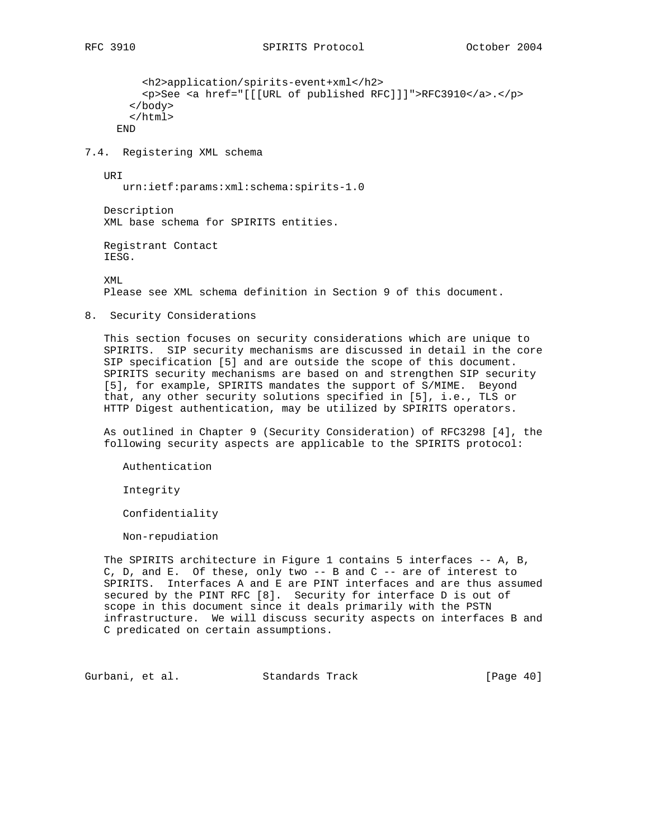```
 <h2>application/spirits-event+xml</h2>
     <p>See <a href="[[[URL of published RFC]]]">RFC3910</a>.</p>
   </body>
   </html>
 END
```
7.4. Registering XML schema

**TIRT** 

urn:ietf:params:xml:schema:spirits-1.0

 Description XML base schema for SPIRITS entities.

 Registrant Contact IESG.

 XML Please see XML schema definition in Section 9 of this document.

8. Security Considerations

 This section focuses on security considerations which are unique to SPIRITS. SIP security mechanisms are discussed in detail in the core SIP specification [5] and are outside the scope of this document. SPIRITS security mechanisms are based on and strengthen SIP security [5], for example, SPIRITS mandates the support of S/MIME. Beyond that, any other security solutions specified in [5], i.e., TLS or HTTP Digest authentication, may be utilized by SPIRITS operators.

 As outlined in Chapter 9 (Security Consideration) of RFC3298 [4], the following security aspects are applicable to the SPIRITS protocol:

Authentication

Integrity

Confidentiality

Non-repudiation

 The SPIRITS architecture in Figure 1 contains 5 interfaces -- A, B, C, D, and E. Of these, only two -- B and C -- are of interest to SPIRITS. Interfaces A and E are PINT interfaces and are thus assumed secured by the PINT RFC [8]. Security for interface D is out of scope in this document since it deals primarily with the PSTN infrastructure. We will discuss security aspects on interfaces B and C predicated on certain assumptions.

Gurbani, et al. Standards Track [Page 40]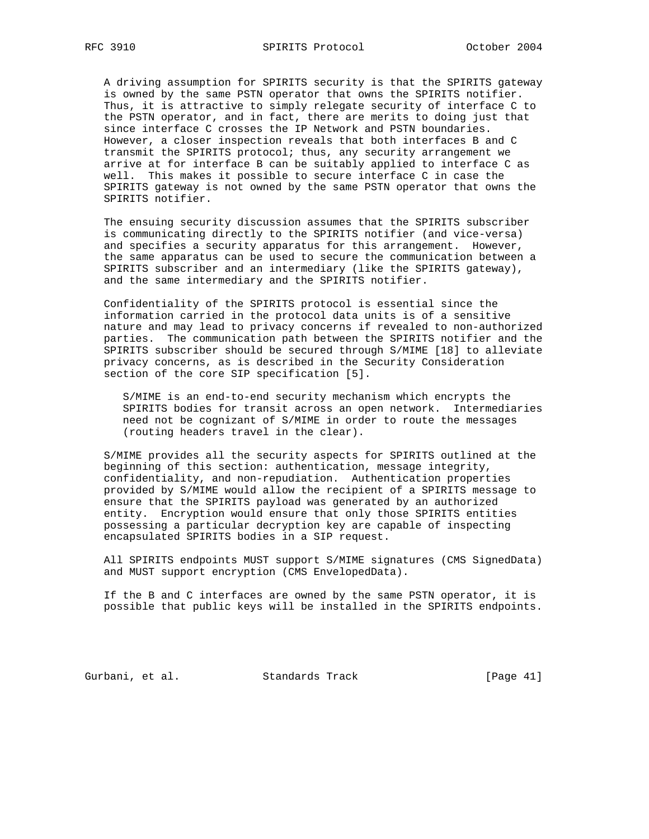A driving assumption for SPIRITS security is that the SPIRITS gateway is owned by the same PSTN operator that owns the SPIRITS notifier. Thus, it is attractive to simply relegate security of interface C to the PSTN operator, and in fact, there are merits to doing just that since interface C crosses the IP Network and PSTN boundaries. However, a closer inspection reveals that both interfaces B and C transmit the SPIRITS protocol; thus, any security arrangement we arrive at for interface B can be suitably applied to interface C as well. This makes it possible to secure interface C in case the SPIRITS gateway is not owned by the same PSTN operator that owns the SPIRITS notifier.

 The ensuing security discussion assumes that the SPIRITS subscriber is communicating directly to the SPIRITS notifier (and vice-versa) and specifies a security apparatus for this arrangement. However, the same apparatus can be used to secure the communication between a SPIRITS subscriber and an intermediary (like the SPIRITS gateway), and the same intermediary and the SPIRITS notifier.

 Confidentiality of the SPIRITS protocol is essential since the information carried in the protocol data units is of a sensitive nature and may lead to privacy concerns if revealed to non-authorized parties. The communication path between the SPIRITS notifier and the SPIRITS subscriber should be secured through S/MIME [18] to alleviate privacy concerns, as is described in the Security Consideration section of the core SIP specification [5].

 S/MIME is an end-to-end security mechanism which encrypts the SPIRITS bodies for transit across an open network. Intermediaries need not be cognizant of S/MIME in order to route the messages (routing headers travel in the clear).

 S/MIME provides all the security aspects for SPIRITS outlined at the beginning of this section: authentication, message integrity, confidentiality, and non-repudiation. Authentication properties provided by S/MIME would allow the recipient of a SPIRITS message to ensure that the SPIRITS payload was generated by an authorized entity. Encryption would ensure that only those SPIRITS entities possessing a particular decryption key are capable of inspecting encapsulated SPIRITS bodies in a SIP request.

 All SPIRITS endpoints MUST support S/MIME signatures (CMS SignedData) and MUST support encryption (CMS EnvelopedData).

 If the B and C interfaces are owned by the same PSTN operator, it is possible that public keys will be installed in the SPIRITS endpoints.

Gurbani, et al. Standards Track [Page 41]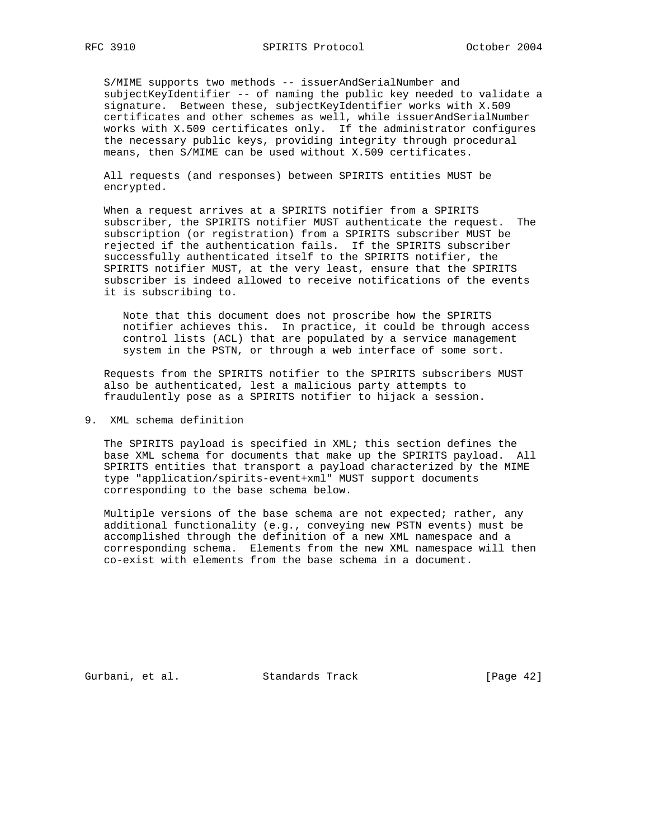S/MIME supports two methods -- issuerAndSerialNumber and subjectKeyIdentifier -- of naming the public key needed to validate a signature. Between these, subjectKeyIdentifier works with X.509 certificates and other schemes as well, while issuerAndSerialNumber works with X.509 certificates only. If the administrator configures the necessary public keys, providing integrity through procedural means, then S/MIME can be used without X.509 certificates.

 All requests (and responses) between SPIRITS entities MUST be encrypted.

 When a request arrives at a SPIRITS notifier from a SPIRITS subscriber, the SPIRITS notifier MUST authenticate the request. The subscription (or registration) from a SPIRITS subscriber MUST be rejected if the authentication fails. If the SPIRITS subscriber successfully authenticated itself to the SPIRITS notifier, the SPIRITS notifier MUST, at the very least, ensure that the SPIRITS subscriber is indeed allowed to receive notifications of the events it is subscribing to.

 Note that this document does not proscribe how the SPIRITS notifier achieves this. In practice, it could be through access control lists (ACL) that are populated by a service management system in the PSTN, or through a web interface of some sort.

 Requests from the SPIRITS notifier to the SPIRITS subscribers MUST also be authenticated, lest a malicious party attempts to fraudulently pose as a SPIRITS notifier to hijack a session.

#### 9. XML schema definition

 The SPIRITS payload is specified in XML; this section defines the base XML schema for documents that make up the SPIRITS payload. All SPIRITS entities that transport a payload characterized by the MIME type "application/spirits-event+xml" MUST support documents corresponding to the base schema below.

Multiple versions of the base schema are not expected; rather, any additional functionality (e.g., conveying new PSTN events) must be accomplished through the definition of a new XML namespace and a corresponding schema. Elements from the new XML namespace will then co-exist with elements from the base schema in a document.

Gurbani, et al. Standards Track [Page 42]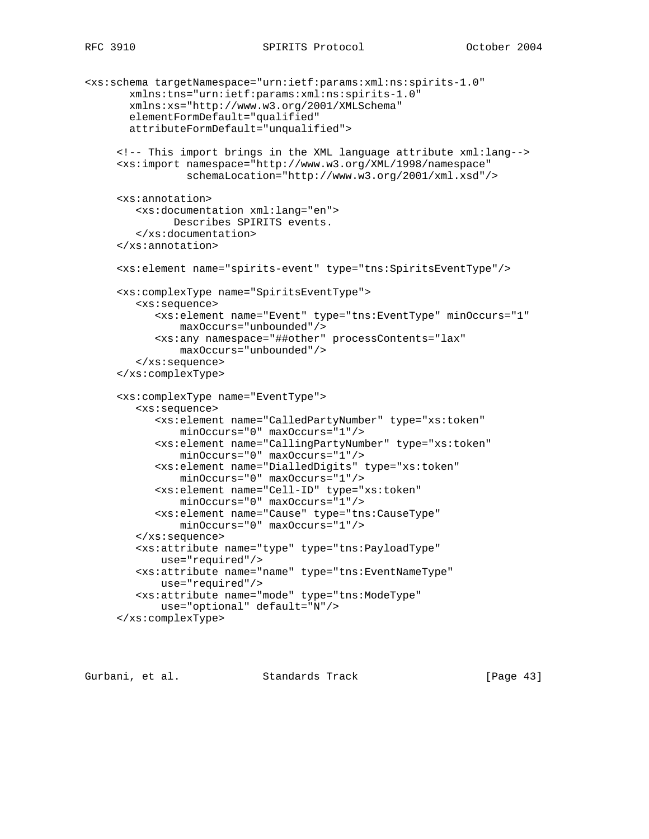```
<xs:schema targetNamespace="urn:ietf:params:xml:ns:spirits-1.0"
        xmlns:tns="urn:ietf:params:xml:ns:spirits-1.0"
        xmlns:xs="http://www.w3.org/2001/XMLSchema"
        elementFormDefault="qualified"
        attributeFormDefault="unqualified">
      <!-- This import brings in the XML language attribute xml:lang-->
      <xs:import namespace="http://www.w3.org/XML/1998/namespace"
                 schemaLocation="http://www.w3.org/2001/xml.xsd"/>
      <xs:annotation>
         <xs:documentation xml:lang="en">
               Describes SPIRITS events.
         </xs:documentation>
      </xs:annotation>
      <xs:element name="spirits-event" type="tns:SpiritsEventType"/>
      <xs:complexType name="SpiritsEventType">
         <xs:sequence>
            <xs:element name="Event" type="tns:EventType" minOccurs="1"
                maxOccurs="unbounded"/>
            <xs:any namespace="##other" processContents="lax"
                maxOccurs="unbounded"/>
         </xs:sequence>
      </xs:complexType>
      <xs:complexType name="EventType">
         <xs:sequence>
            <xs:element name="CalledPartyNumber" type="xs:token"
                minOccurs="0" maxOccurs="1"/>
            <xs:element name="CallingPartyNumber" type="xs:token"
                minOccurs="0" maxOccurs="1"/>
            <xs:element name="DialledDigits" type="xs:token"
                minOccurs="0" maxOccurs="1"/>
            <xs:element name="Cell-ID" type="xs:token"
                minOccurs="0" maxOccurs="1"/>
            <xs:element name="Cause" type="tns:CauseType"
                minOccurs="0" maxOccurs="1"/>
         </xs:sequence>
         <xs:attribute name="type" type="tns:PayloadType"
             use="required"/>
         <xs:attribute name="name" type="tns:EventNameType"
            use="required"/>
         <xs:attribute name="mode" type="tns:ModeType"
             use="optional" default="N"/>
      </xs:complexType>
```
Gurbani, et al. Standards Track [Page 43]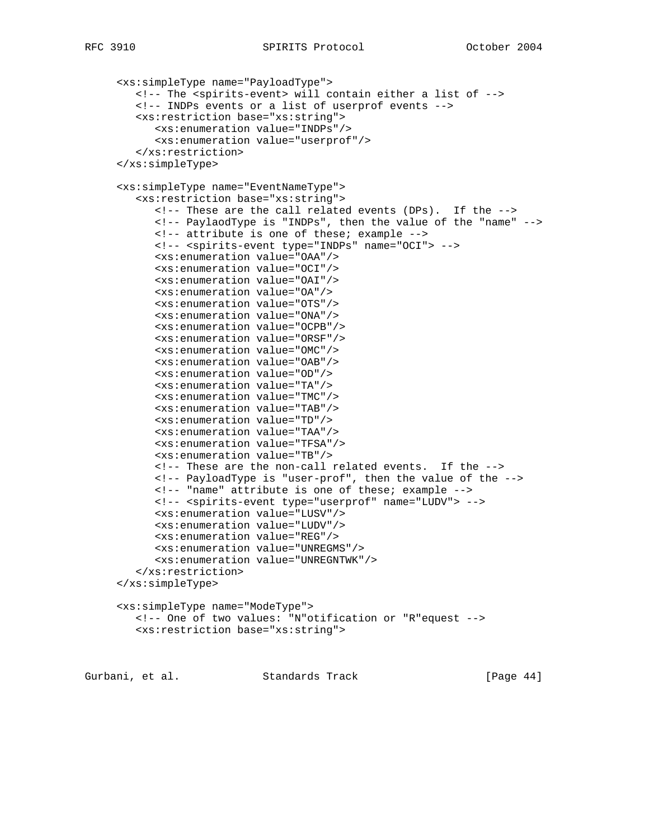```
 <xs:simpleType name="PayloadType">
    <!-- The <spirits-event> will contain either a list of -->
    <!-- INDPs events or a list of userprof events -->
    <xs:restriction base="xs:string">
       <xs:enumeration value="INDPs"/>
       <xs:enumeration value="userprof"/>
    </xs:restriction>
 </xs:simpleType>
 <xs:simpleType name="EventNameType">
    <xs:restriction base="xs:string">
       <!-- These are the call related events (DPs). If the -->
       <!-- PaylaodType is "INDPs", then the value of the "name" -->
       <!-- attribute is one of these; example -->
       <!-- <spirits-event type="INDPs" name="OCI"> -->
       <xs:enumeration value="OAA"/>
       <xs:enumeration value="OCI"/>
       <xs:enumeration value="OAI"/>
       <xs:enumeration value="OA"/>
       <xs:enumeration value="OTS"/>
       <xs:enumeration value="ONA"/>
       <xs:enumeration value="OCPB"/>
       <xs:enumeration value="ORSF"/>
      <xs:enumeration value="OMC"/>
       <xs:enumeration value="OAB"/>
       <xs:enumeration value="OD"/>
       <xs:enumeration value="TA"/>
      <xs:enumeration value="TMC"/>
      <xs:enumeration value="TAB"/>
      <xs:enumeration value="TD"/>
      <xs:enumeration value="TAA"/>
       <xs:enumeration value="TFSA"/>
       <xs:enumeration value="TB"/>
       <!-- These are the non-call related events. If the -->
       <!-- PayloadType is "user-prof", then the value of the -->
       <!-- "name" attribute is one of these; example -->
       <!-- <spirits-event type="userprof" name="LUDV"> -->
       <xs:enumeration value="LUSV"/>
       <xs:enumeration value="LUDV"/>
       <xs:enumeration value="REG"/>
       <xs:enumeration value="UNREGMS"/>
       <xs:enumeration value="UNREGNTWK"/>
    </xs:restriction>
 </xs:simpleType>
 <xs:simpleType name="ModeType">
    <!-- One of two values: "N"otification or "R"equest -->
    <xs:restriction base="xs:string">
```
Gurbani, et al. Standards Track [Page 44]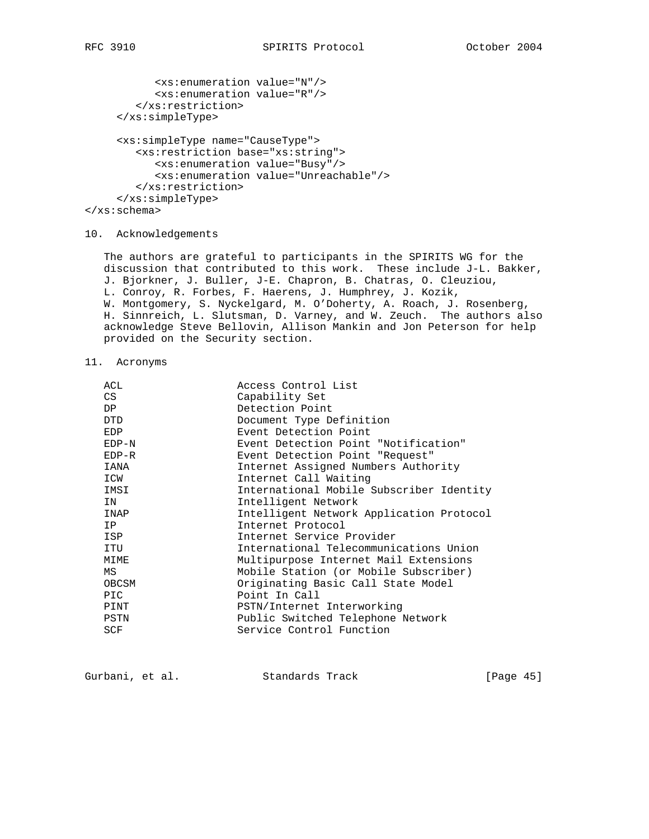```
 <xs:enumeration value="N"/>
            <xs:enumeration value="R"/>
         </xs:restriction>
      </xs:simpleType>
      <xs:simpleType name="CauseType">
         <xs:restriction base="xs:string">
           <xs:enumeration value="Busy"/>
            <xs:enumeration value="Unreachable"/>
         </xs:restriction>
      </xs:simpleType>
</xs:schema>
```
#### 10. Acknowledgements

 The authors are grateful to participants in the SPIRITS WG for the discussion that contributed to this work. These include J-L. Bakker, J. Bjorkner, J. Buller, J-E. Chapron, B. Chatras, O. Cleuziou, L. Conroy, R. Forbes, F. Haerens, J. Humphrey, J. Kozik, W. Montgomery, S. Nyckelgard, M. O'Doherty, A. Roach, J. Rosenberg, H. Sinnreich, L. Slutsman, D. Varney, and W. Zeuch. The authors also acknowledge Steve Bellovin, Allison Mankin and Jon Peterson for help provided on the Security section.

# 11. Acronyms

| ACL        | Access Control List                      |
|------------|------------------------------------------|
| CS         | Capability Set                           |
| DP.        | Detection Point                          |
| <b>DTD</b> | Document Type Definition                 |
| EDP        | Event Detection Point                    |
| $EDP-N$    | Event Detection Point "Notification"     |
| $EDP-R$    | Event Detection Point "Request"          |
| IANA       | Internet Assigned Numbers Authority      |
| ICW        | Internet Call Waiting                    |
| IMSI       | International Mobile Subscriber Identity |
| IN         | Intelligent Network                      |
| INAP       | Intelligent Network Application Protocol |
| IP         | Internet Protocol                        |
| ISP        | Internet Service Provider                |
| ITU        | International Telecommunications Union   |
| MIME       | Multipurpose Internet Mail Extensions    |
| MS         | Mobile Station (or Mobile Subscriber)    |
| OBCSM      | Originating Basic Call State Model       |
| PIC.       | Point In Call                            |
| PINT       | PSTN/Internet Interworking               |
| PSTN       | Public Switched Telephone Network        |
| SCF        | Service Control Function                 |
|            |                                          |

Gurbani, et al. Standards Track [Page 45]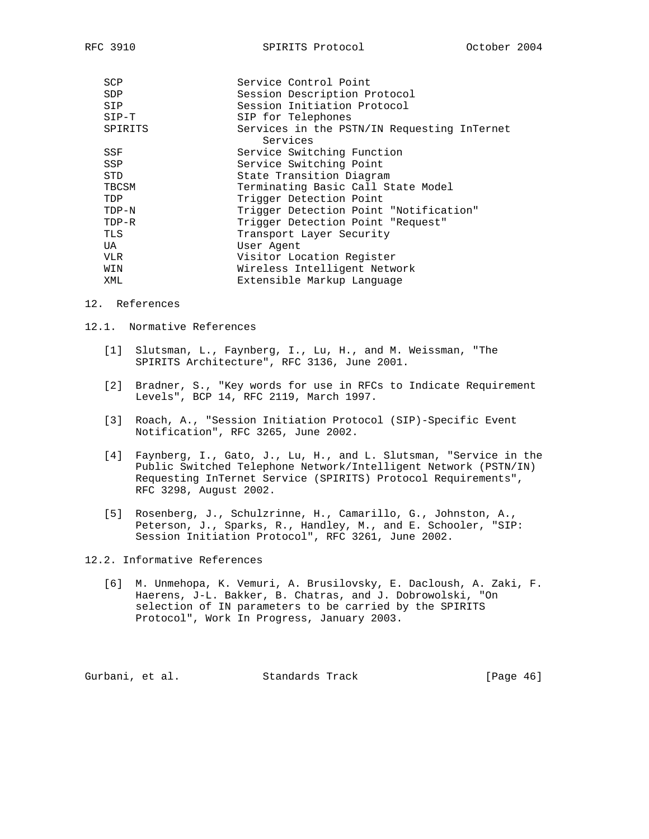| SCP     | Service Control Point                       |
|---------|---------------------------------------------|
| SDP     | Session Description Protocol                |
| SIP     | Session Initiation Protocol                 |
| $SIP-T$ | SIP for Telephones                          |
| SPIRITS | Services in the PSTN/IN Requesting InTernet |
|         | Services                                    |
| SSF     | Service Switching Function                  |
| SSP     | Service Switching Point                     |
| STD     | State Transition Diagram                    |
| TBCSM   | Terminating Basic Call State Model          |
| TDP     | Trigger Detection Point                     |
| $TDP-N$ | Trigger Detection Point "Notification"      |
| $TDP-R$ | Trigger Detection Point "Request"           |
| TLS     | Transport Layer Security                    |
| UA      | User Agent                                  |
| VLR.    | Visitor Location Register                   |
| WIN     | Wireless Intelligent Network                |
| XML     | Extensible Markup Language                  |

#### 12. References

## 12.1. Normative References

- [1] Slutsman, L., Faynberg, I., Lu, H., and M. Weissman, "The SPIRITS Architecture", RFC 3136, June 2001.
- [2] Bradner, S., "Key words for use in RFCs to Indicate Requirement Levels", BCP 14, RFC 2119, March 1997.
- [3] Roach, A., "Session Initiation Protocol (SIP)-Specific Event Notification", RFC 3265, June 2002.
- [4] Faynberg, I., Gato, J., Lu, H., and L. Slutsman, "Service in the Public Switched Telephone Network/Intelligent Network (PSTN/IN) Requesting InTernet Service (SPIRITS) Protocol Requirements", RFC 3298, August 2002.
- [5] Rosenberg, J., Schulzrinne, H., Camarillo, G., Johnston, A., Peterson, J., Sparks, R., Handley, M., and E. Schooler, "SIP: Session Initiation Protocol", RFC 3261, June 2002.

12.2. Informative References

 [6] M. Unmehopa, K. Vemuri, A. Brusilovsky, E. Dacloush, A. Zaki, F. Haerens, J-L. Bakker, B. Chatras, and J. Dobrowolski, "On selection of IN parameters to be carried by the SPIRITS Protocol", Work In Progress, January 2003.

Gurbani, et al. Standards Track [Page 46]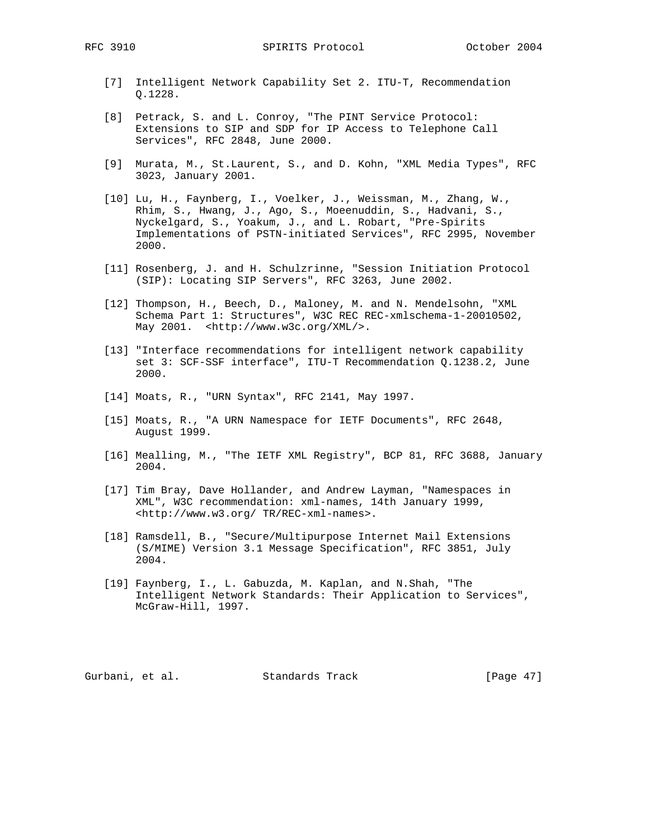- [7] Intelligent Network Capability Set 2. ITU-T, Recommendation Q.1228.
- [8] Petrack, S. and L. Conroy, "The PINT Service Protocol: Extensions to SIP and SDP for IP Access to Telephone Call Services", RFC 2848, June 2000.
- [9] Murata, M., St.Laurent, S., and D. Kohn, "XML Media Types", RFC 3023, January 2001.
- [10] Lu, H., Faynberg, I., Voelker, J., Weissman, M., Zhang, W., Rhim, S., Hwang, J., Ago, S., Moeenuddin, S., Hadvani, S., Nyckelgard, S., Yoakum, J., and L. Robart, "Pre-Spirits Implementations of PSTN-initiated Services", RFC 2995, November 2000.
- [11] Rosenberg, J. and H. Schulzrinne, "Session Initiation Protocol (SIP): Locating SIP Servers", RFC 3263, June 2002.
- [12] Thompson, H., Beech, D., Maloney, M. and N. Mendelsohn, "XML Schema Part 1: Structures", W3C REC REC-xmlschema-1-20010502, May 2001. <http://www.w3c.org/XML/>.
- [13] "Interface recommendations for intelligent network capability set 3: SCF-SSF interface", ITU-T Recommendation Q.1238.2, June 2000.
- [14] Moats, R., "URN Syntax", RFC 2141, May 1997.
- [15] Moats, R., "A URN Namespace for IETF Documents", RFC 2648, August 1999.
- [16] Mealling, M., "The IETF XML Registry", BCP 81, RFC 3688, January 2004.
- [17] Tim Bray, Dave Hollander, and Andrew Layman, "Namespaces in XML", W3C recommendation: xml-names, 14th January 1999, <http://www.w3.org/ TR/REC-xml-names>.
- [18] Ramsdell, B., "Secure/Multipurpose Internet Mail Extensions (S/MIME) Version 3.1 Message Specification", RFC 3851, July 2004.
- [19] Faynberg, I., L. Gabuzda, M. Kaplan, and N.Shah, "The Intelligent Network Standards: Their Application to Services", McGraw-Hill, 1997.

Gurbani, et al. Standards Track [Page 47]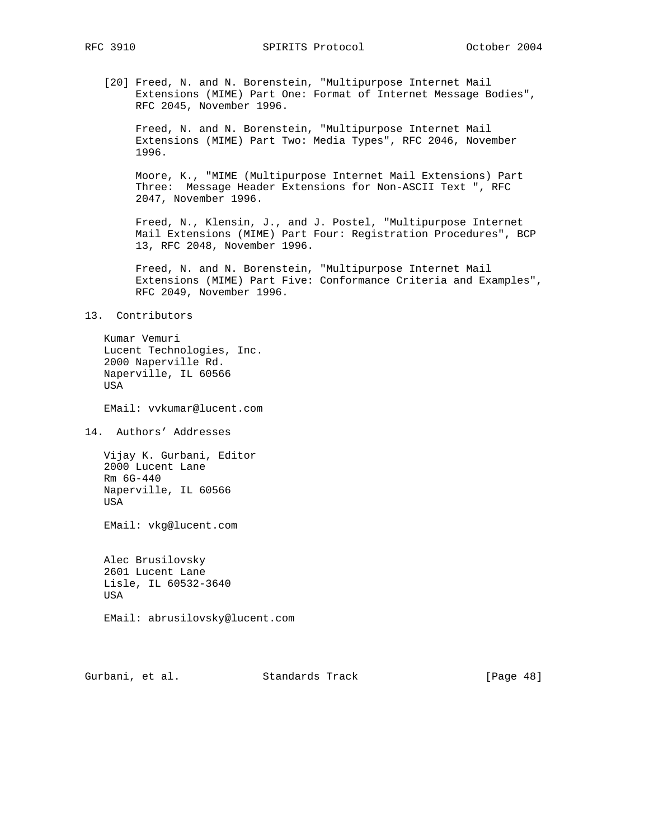[20] Freed, N. and N. Borenstein, "Multipurpose Internet Mail Extensions (MIME) Part One: Format of Internet Message Bodies", RFC 2045, November 1996.

 Freed, N. and N. Borenstein, "Multipurpose Internet Mail Extensions (MIME) Part Two: Media Types", RFC 2046, November 1996.

 Moore, K., "MIME (Multipurpose Internet Mail Extensions) Part Three: Message Header Extensions for Non-ASCII Text ", RFC 2047, November 1996.

 Freed, N., Klensin, J., and J. Postel, "Multipurpose Internet Mail Extensions (MIME) Part Four: Registration Procedures", BCP 13, RFC 2048, November 1996.

 Freed, N. and N. Borenstein, "Multipurpose Internet Mail Extensions (MIME) Part Five: Conformance Criteria and Examples", RFC 2049, November 1996.

#### 13. Contributors

 Kumar Vemuri Lucent Technologies, Inc. 2000 Naperville Rd. Naperville, IL 60566 USA

EMail: vvkumar@lucent.com

14. Authors' Addresses

 Vijay K. Gurbani, Editor 2000 Lucent Lane Rm 6G-440 Naperville, IL 60566 USA

EMail: vkg@lucent.com

 Alec Brusilovsky 2601 Lucent Lane Lisle, IL 60532-3640 USA

EMail: abrusilovsky@lucent.com

Gurbani, et al. Standards Track [Page 48]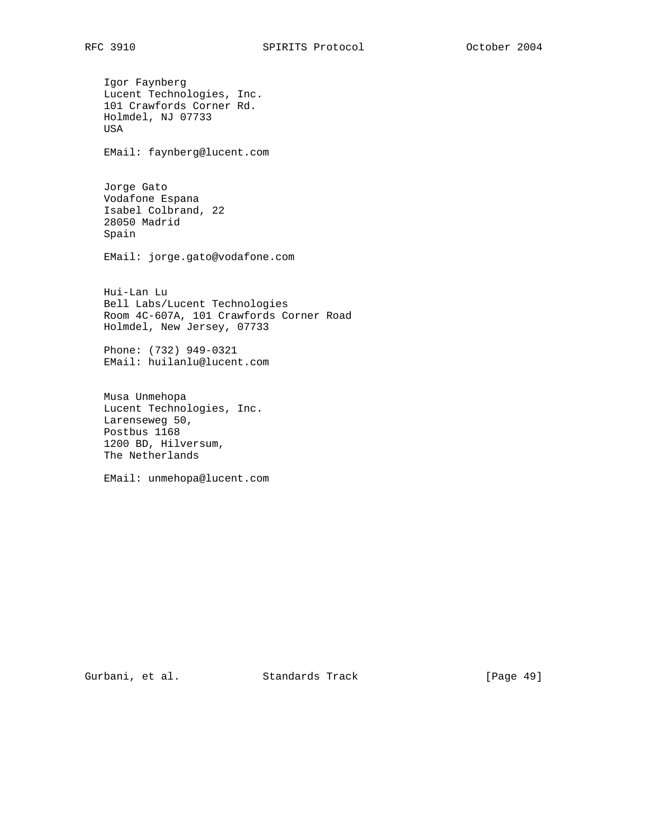Igor Faynberg Lucent Technologies, Inc. 101 Crawfords Corner Rd. Holmdel, NJ 07733 USA

EMail: faynberg@lucent.com

 Jorge Gato Vodafone Espana Isabel Colbrand, 22 28050 Madrid Spain

EMail: jorge.gato@vodafone.com

 Hui-Lan Lu Bell Labs/Lucent Technologies Room 4C-607A, 101 Crawfords Corner Road Holmdel, New Jersey, 07733

 Phone: (732) 949-0321 EMail: huilanlu@lucent.com

 Musa Unmehopa Lucent Technologies, Inc. Larenseweg 50, Postbus 1168 1200 BD, Hilversum, The Netherlands

EMail: unmehopa@lucent.com

Gurbani, et al. Standards Track [Page 49]